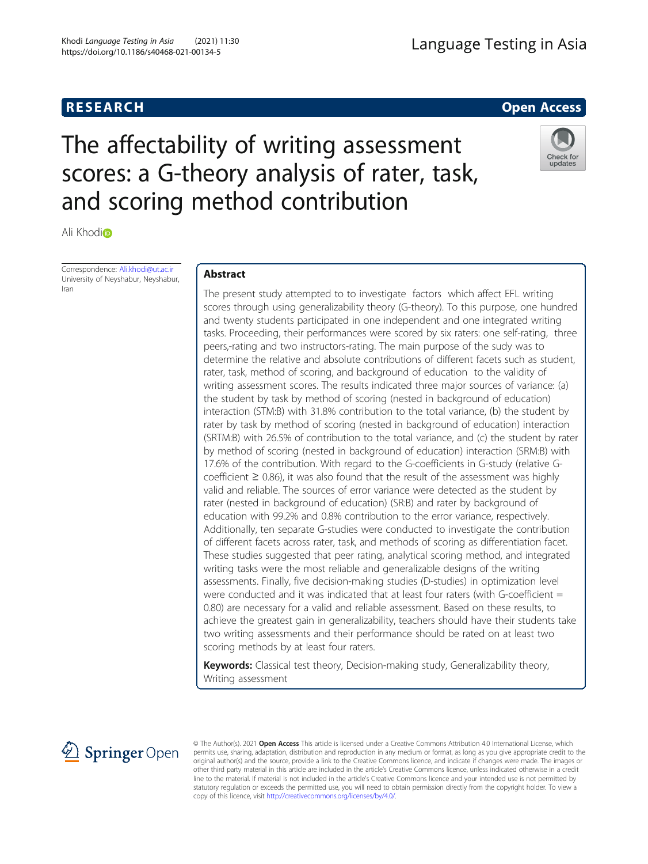# **RESEARCH RESEARCH** *CHECKER CHECKER CHECKER CHECKER CHECKER CHECKER CHECKER CHECKER CHECKER CHECKER CHECKER*

# The affectability of writing assessment scores: a G-theory analysis of rater, task, and scoring method contribution



Ali Khod[i](http://orcid.org/0000-0002-5691-5387)

Correspondence: [Ali.khodi@ut.ac.ir](mailto:Ali.khodi@ut.ac.ir) University of Neyshabur, Neyshabur, Iran

# Abstract

The present study attempted to to investigate factors which affect EFL writing scores through using generalizability theory (G-theory). To this purpose, one hundred and twenty students participated in one independent and one integrated writing tasks. Proceeding, their performances were scored by six raters: one self-rating, three peers,-rating and two instructors-rating. The main purpose of the sudy was to determine the relative and absolute contributions of different facets such as student, rater, task, method of scoring, and background of education to the validity of writing assessment scores. The results indicated three major sources of variance: (a) the student by task by method of scoring (nested in background of education) interaction (STM:B) with 31.8% contribution to the total variance, (b) the student by rater by task by method of scoring (nested in background of education) interaction (SRTM:B) with 26.5% of contribution to the total variance, and (c) the student by rater by method of scoring (nested in background of education) interaction (SRM:B) with 17.6% of the contribution. With regard to the G-coefficients in G-study (relative Gcoefficient  $\geq$  0.86), it was also found that the result of the assessment was highly valid and reliable. The sources of error variance were detected as the student by rater (nested in background of education) (SR:B) and rater by background of education with 99.2% and 0.8% contribution to the error variance, respectively. Additionally, ten separate G-studies were conducted to investigate the contribution of different facets across rater, task, and methods of scoring as differentiation facet. These studies suggested that peer rating, analytical scoring method, and integrated writing tasks were the most reliable and generalizable designs of the writing assessments. Finally, five decision-making studies (D-studies) in optimization level were conducted and it was indicated that at least four raters (with G-coefficient = 0.80) are necessary for a valid and reliable assessment. Based on these results, to achieve the greatest gain in generalizability, teachers should have their students take two writing assessments and their performance should be rated on at least two scoring methods by at least four raters.

Keywords: Classical test theory, Decision-making study, Generalizability theory, Writing assessment



© The Author(s). 2021 Open Access This article is licensed under a Creative Commons Attribution 4.0 International License, which permits use, sharing, adaptation, distribution and reproduction in any medium or format, as long as you give appropriate credit to the original author(s) and the source, provide a link to the Creative Commons licence, and indicate if changes were made. The images or other third party material in this article are included in the article's Creative Commons licence, unless indicated otherwise in a credit line to the material. If material is not included in the article's Creative Commons licence and your intended use is not permitted by statutory regulation or exceeds the permitted use, you will need to obtain permission directly from the copyright holder. To view a copy of this licence, visit <http://creativecommons.org/licenses/by/4.0/>.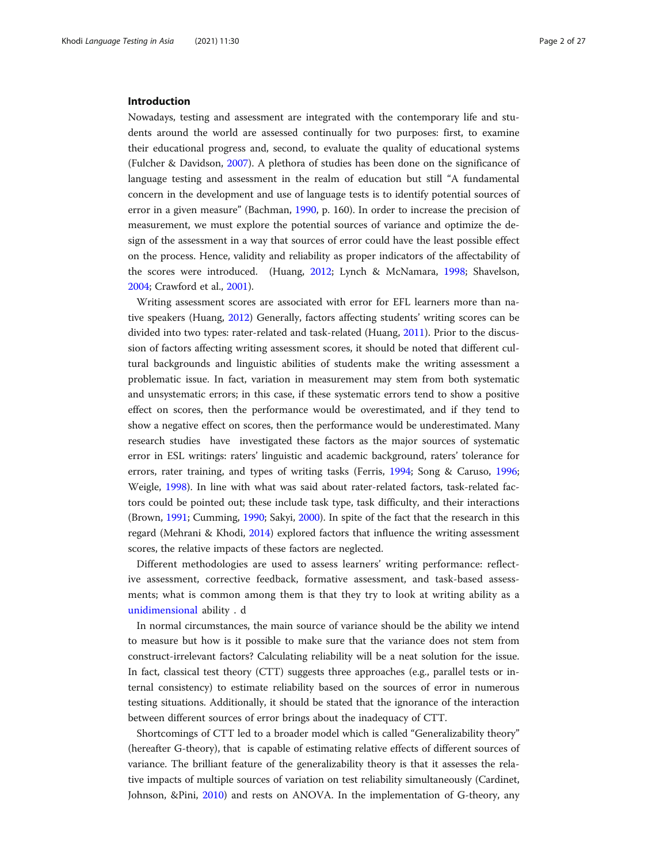#### Introduction

Nowadays, testing and assessment are integrated with the contemporary life and students around the world are assessed continually for two purposes: first, to examine their educational progress and, second, to evaluate the quality of educational systems (Fulcher & Davidson, [2007](#page-24-0)). A plethora of studies has been done on the significance of language testing and assessment in the realm of education but still "A fundamental concern in the development and use of language tests is to identify potential sources of error in a given measure" (Bachman, [1990,](#page-23-0) p. 160). In order to increase the precision of measurement, we must explore the potential sources of variance and optimize the design of the assessment in a way that sources of error could have the least possible effect on the process. Hence, validity and reliability as proper indicators of the affectability of the scores were introduced. (Huang, [2012;](#page-25-0) Lynch & McNamara, [1998;](#page-25-0) Shavelson, [2004](#page-25-0); Crawford et al., [2001](#page-24-0)).

Writing assessment scores are associated with error for EFL learners more than native speakers (Huang, [2012](#page-25-0)) Generally, factors affecting students' writing scores can be divided into two types: rater-related and task-related (Huang, [2011\)](#page-24-0). Prior to the discussion of factors affecting writing assessment scores, it should be noted that different cultural backgrounds and linguistic abilities of students make the writing assessment a problematic issue. In fact, variation in measurement may stem from both systematic and unsystematic errors; in this case, if these systematic errors tend to show a positive effect on scores, then the performance would be overestimated, and if they tend to show a negative effect on scores, then the performance would be underestimated. Many research studies have investigated these factors as the major sources of systematic error in ESL writings: raters' linguistic and academic background, raters' tolerance for errors, rater training, and types of writing tasks (Ferris, [1994;](#page-24-0) Song & Caruso, [1996](#page-25-0); Weigle, [1998\)](#page-25-0). In line with what was said about rater-related factors, task-related factors could be pointed out; these include task type, task difficulty, and their interactions (Brown, [1991](#page-24-0); Cumming, [1990](#page-24-0); Sakyi, [2000](#page-25-0)). In spite of the fact that the research in this regard (Mehrani & Khodi, [2014](#page-25-0)) explored factors that influence the writing assessment scores, the relative impacts of these factors are neglected.

Different methodologies are used to assess learners' writing performance: reflective assessment, corrective feedback, formative assessment, and task-based assessments; what is common among them is that they try to look at writing ability as a [unidimensional](https://www.google.com/search?client=firefox-a&hs=7P4&rls=org.mozilla:en-US:official&q=unidimensional&spell=1&sa=X&ei=ugRCVJjJMaqaygOR9ID4BA&ved=0CBsQvwUoAA) ability . d

In normal circumstances, the main source of variance should be the ability we intend to measure but how is it possible to make sure that the variance does not stem from construct-irrelevant factors? Calculating reliability will be a neat solution for the issue. In fact, classical test theory (CTT) suggests three approaches (e.g., parallel tests or internal consistency) to estimate reliability based on the sources of error in numerous testing situations. Additionally, it should be stated that the ignorance of the interaction between different sources of error brings about the inadequacy of CTT.

Shortcomings of CTT led to a broader model which is called "Generalizability theory" (hereafter G-theory), that is capable of estimating relative effects of different sources of variance. The brilliant feature of the generalizability theory is that it assesses the relative impacts of multiple sources of variation on test reliability simultaneously (Cardinet, Johnson, &Pini, [2010\)](#page-24-0) and rests on ANOVA. In the implementation of G-theory, any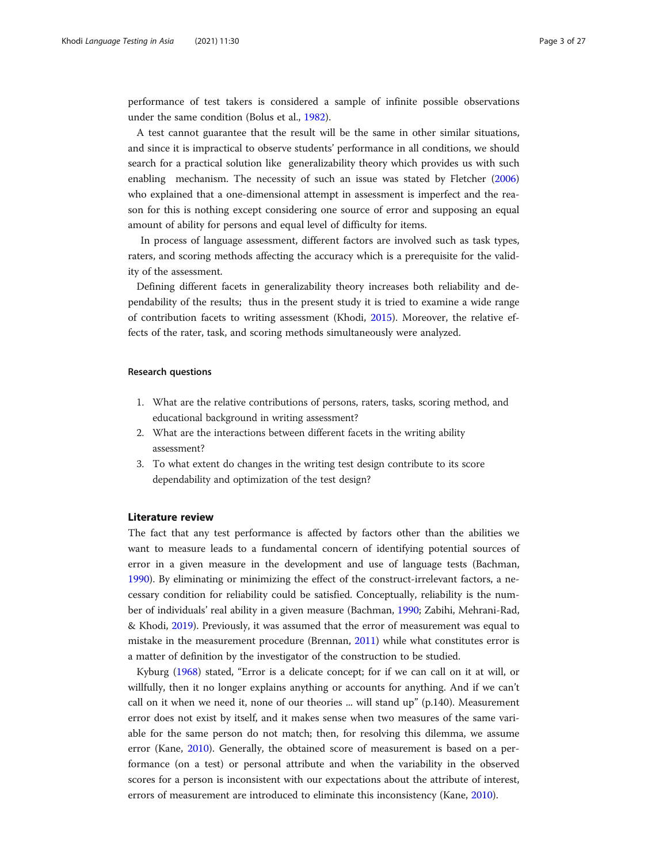performance of test takers is considered a sample of infinite possible observations under the same condition (Bolus et al., [1982](#page-24-0)).

A test cannot guarantee that the result will be the same in other similar situations, and since it is impractical to observe students' performance in all conditions, we should search for a practical solution like generalizability theory which provides us with such enabling mechanism. The necessity of such an issue was stated by Fletcher ([2006](#page-24-0)) who explained that a one-dimensional attempt in assessment is imperfect and the reason for this is nothing except considering one source of error and supposing an equal amount of ability for persons and equal level of difficulty for items.

In process of language assessment, different factors are involved such as task types, raters, and scoring methods affecting the accuracy which is a prerequisite for the validity of the assessment.

Defining different facets in generalizability theory increases both reliability and dependability of the results; thus in the present study it is tried to examine a wide range of contribution facets to writing assessment (Khodi, [2015](#page-25-0)). Moreover, the relative effects of the rater, task, and scoring methods simultaneously were analyzed.

### Research questions

- 1. What are the relative contributions of persons, raters, tasks, scoring method, and educational background in writing assessment?
- 2. What are the interactions between different facets in the writing ability assessment?
- 3. To what extent do changes in the writing test design contribute to its score dependability and optimization of the test design?

#### Literature review

The fact that any test performance is affected by factors other than the abilities we want to measure leads to a fundamental concern of identifying potential sources of error in a given measure in the development and use of language tests (Bachman, [1990](#page-23-0)). By eliminating or minimizing the effect of the construct-irrelevant factors, a necessary condition for reliability could be satisfied. Conceptually, reliability is the number of individuals' real ability in a given measure (Bachman, [1990](#page-23-0); Zabihi, Mehrani-Rad, & Khodi, [2019\)](#page-26-0). Previously, it was assumed that the error of measurement was equal to mistake in the measurement procedure (Brennan, [2011\)](#page-24-0) while what constitutes error is a matter of definition by the investigator of the construction to be studied.

Kyburg [\(1968\)](#page-25-0) stated, "Error is a delicate concept; for if we can call on it at will, or willfully, then it no longer explains anything or accounts for anything. And if we can't call on it when we need it, none of our theories ... will stand up"  $(p.140)$ . Measurement error does not exist by itself, and it makes sense when two measures of the same variable for the same person do not match; then, for resolving this dilemma, we assume error (Kane, [2010](#page-25-0)). Generally, the obtained score of measurement is based on a performance (on a test) or personal attribute and when the variability in the observed scores for a person is inconsistent with our expectations about the attribute of interest, errors of measurement are introduced to eliminate this inconsistency (Kane, [2010\)](#page-25-0).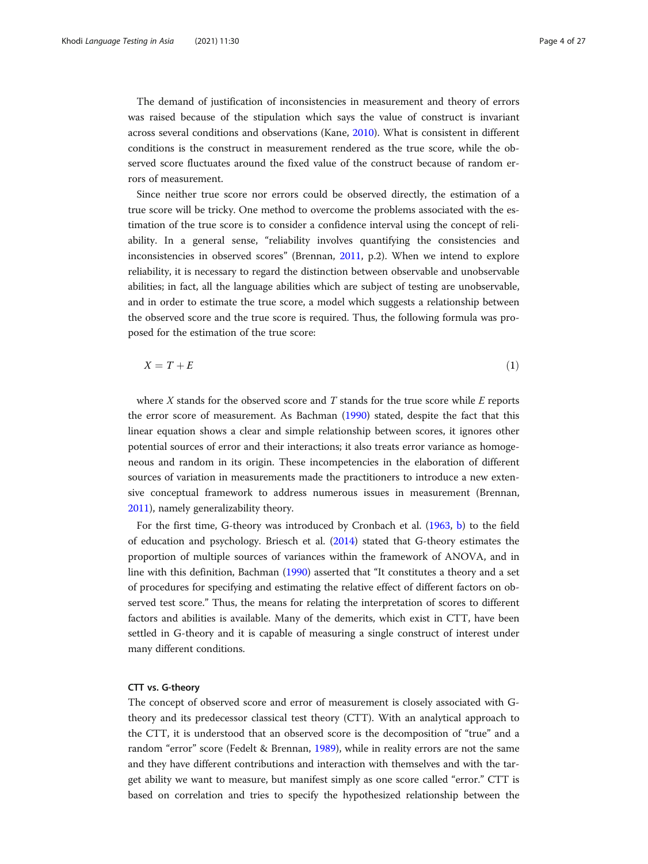The demand of justification of inconsistencies in measurement and theory of errors was raised because of the stipulation which says the value of construct is invariant across several conditions and observations (Kane, [2010\)](#page-25-0). What is consistent in different conditions is the construct in measurement rendered as the true score, while the observed score fluctuates around the fixed value of the construct because of random errors of measurement.

Since neither true score nor errors could be observed directly, the estimation of a true score will be tricky. One method to overcome the problems associated with the estimation of the true score is to consider a confidence interval using the concept of reliability. In a general sense, "reliability involves quantifying the consistencies and inconsistencies in observed scores" (Brennan, [2011,](#page-24-0) p.2). When we intend to explore reliability, it is necessary to regard the distinction between observable and unobservable abilities; in fact, all the language abilities which are subject of testing are unobservable, and in order to estimate the true score, a model which suggests a relationship between the observed score and the true score is required. Thus, the following formula was proposed for the estimation of the true score:

$$
X = T + E \tag{1}
$$

where  $X$  stands for the observed score and  $T$  stands for the true score while  $E$  reports the error score of measurement. As Bachman [\(1990](#page-23-0)) stated, despite the fact that this linear equation shows a clear and simple relationship between scores, it ignores other potential sources of error and their interactions; it also treats error variance as homogeneous and random in its origin. These incompetencies in the elaboration of different sources of variation in measurements made the practitioners to introduce a new extensive conceptual framework to address numerous issues in measurement (Brennan, [2011](#page-24-0)), namely generalizability theory.

For the first time, G-theory was introduced by Cronbach et al. [\(1963](#page-24-0), [b\)](#page-24-0) to the field of education and psychology. Briesch et al. [\(2014](#page-24-0)) stated that G-theory estimates the proportion of multiple sources of variances within the framework of ANOVA, and in line with this definition, Bachman ([1990\)](#page-23-0) asserted that "It constitutes a theory and a set of procedures for specifying and estimating the relative effect of different factors on observed test score." Thus, the means for relating the interpretation of scores to different factors and abilities is available. Many of the demerits, which exist in CTT, have been settled in G-theory and it is capable of measuring a single construct of interest under many different conditions.

#### CTT vs. G-theory

The concept of observed score and error of measurement is closely associated with Gtheory and its predecessor classical test theory (CTT). With an analytical approach to the CTT, it is understood that an observed score is the decomposition of "true" and a random "error" score (Fedelt & Brennan, [1989\)](#page-24-0), while in reality errors are not the same and they have different contributions and interaction with themselves and with the target ability we want to measure, but manifest simply as one score called "error." CTT is based on correlation and tries to specify the hypothesized relationship between the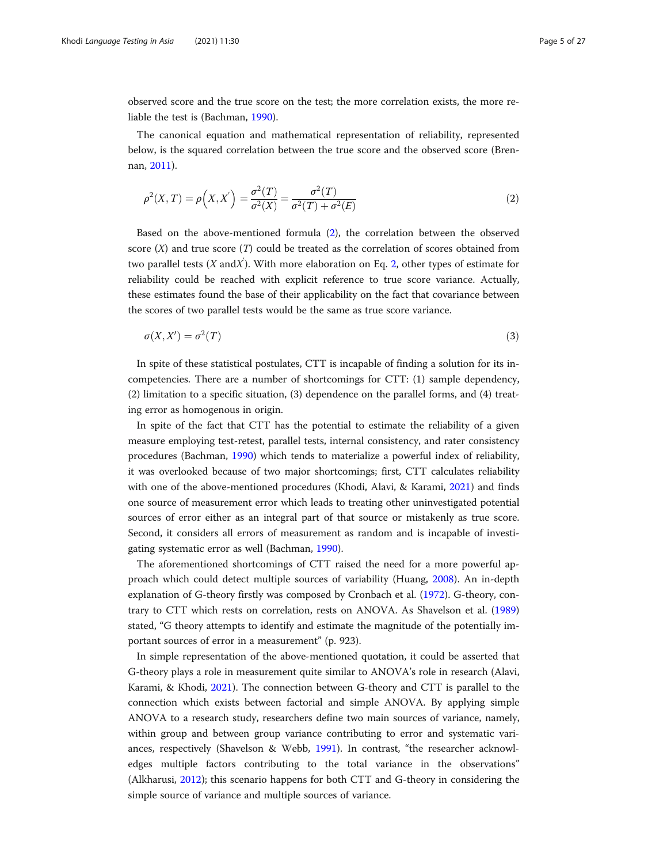<span id="page-4-0"></span>observed score and the true score on the test; the more correlation exists, the more reliable the test is (Bachman, [1990\)](#page-23-0).

The canonical equation and mathematical representation of reliability, represented below, is the squared correlation between the true score and the observed score (Brennan, [2011\)](#page-24-0).

$$
\rho^2(X,T) = \rho\left(X,X'\right) = \frac{\sigma^2(T)}{\sigma^2(X)} = \frac{\sigma^2(T)}{\sigma^2(T) + \sigma^2(E)}\tag{2}
$$

Based on the above-mentioned formula (2), the correlation between the observed score  $(X)$  and true score  $(T)$  could be treated as the correlation of scores obtained from two parallel tests (X andX). With more elaboration on Eq. 2, other types of estimate for reliability could be reached with explicit reference to true score variance. Actually, these estimates found the base of their applicability on the fact that covariance between the scores of two parallel tests would be the same as true score variance.

$$
\sigma(X, X') = \sigma^2(T) \tag{3}
$$

In spite of these statistical postulates, CTT is incapable of finding a solution for its incompetencies. There are a number of shortcomings for CTT: (1) sample dependency, (2) limitation to a specific situation, (3) dependence on the parallel forms, and (4) treating error as homogenous in origin.

In spite of the fact that CTT has the potential to estimate the reliability of a given measure employing test-retest, parallel tests, internal consistency, and rater consistency procedures (Bachman, [1990\)](#page-23-0) which tends to materialize a powerful index of reliability, it was overlooked because of two major shortcomings; first, CTT calculates reliability with one of the above-mentioned procedures (Khodi, Alavi, & Karami, [2021\)](#page-25-0) and finds one source of measurement error which leads to treating other uninvestigated potential sources of error either as an integral part of that source or mistakenly as true score. Second, it considers all errors of measurement as random and is incapable of investigating systematic error as well (Bachman, [1990](#page-23-0)).

The aforementioned shortcomings of CTT raised the need for a more powerful approach which could detect multiple sources of variability (Huang, [2008](#page-24-0)). An in-depth explanation of G-theory firstly was composed by Cronbach et al. [\(1972\)](#page-24-0). G-theory, contrary to CTT which rests on correlation, rests on ANOVA. As Shavelson et al. ([1989](#page-25-0)) stated, "G theory attempts to identify and estimate the magnitude of the potentially important sources of error in a measurement" (p. 923).

In simple representation of the above-mentioned quotation, it could be asserted that G-theory plays a role in measurement quite similar to ANOVA's role in research (Alavi, Karami, & Khodi, [2021\)](#page-23-0). The connection between G-theory and CTT is parallel to the connection which exists between factorial and simple ANOVA. By applying simple ANOVA to a research study, researchers define two main sources of variance, namely, within group and between group variance contributing to error and systematic variances, respectively (Shavelson & Webb, [1991\)](#page-25-0). In contrast, "the researcher acknowledges multiple factors contributing to the total variance in the observations" (Alkharusi, [2012](#page-23-0)); this scenario happens for both CTT and G-theory in considering the simple source of variance and multiple sources of variance.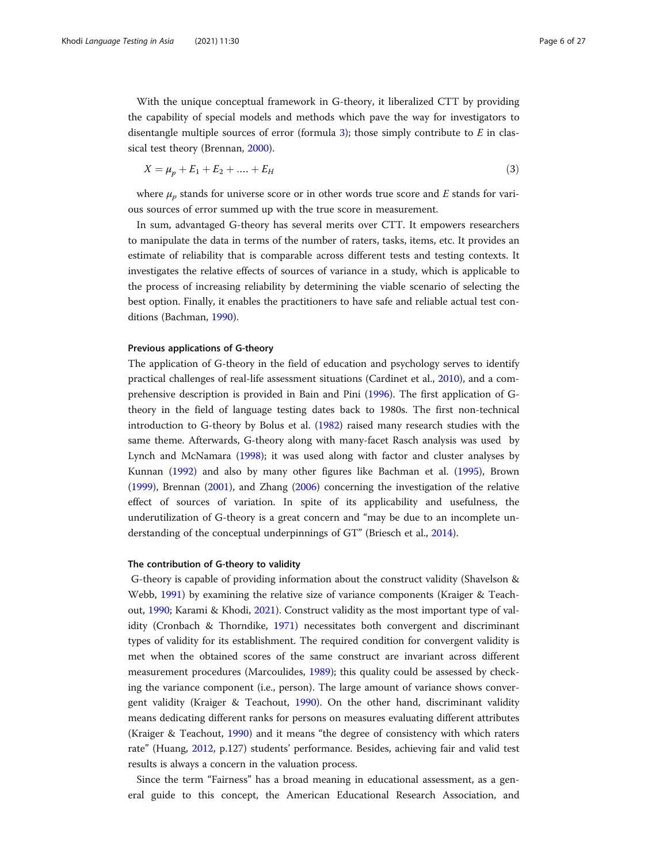With the unique conceptual framework in G-theory, it liberalized CTT by providing the capability of special models and methods which pave the way for investigators to disentangle multiple sources of error (formula [3](#page-4-0)); those simply contribute to  $E$  in classical test theory (Brennan, [2000](#page-24-0)).

$$
X = \mu_p + E_1 + E_2 + \dots + E_H \tag{3}
$$

where  $\mu_p$  stands for universe score or in other words true score and E stands for various sources of error summed up with the true score in measurement.

In sum, advantaged G-theory has several merits over CTT. It empowers researchers to manipulate the data in terms of the number of raters, tasks, items, etc. It provides an estimate of reliability that is comparable across different tests and testing contexts. It investigates the relative effects of sources of variance in a study, which is applicable to the process of increasing reliability by determining the viable scenario of selecting the best option. Finally, it enables the practitioners to have safe and reliable actual test conditions (Bachman, [1990](#page-23-0)).

#### Previous applications of G-theory

The application of G-theory in the field of education and psychology serves to identify practical challenges of real-life assessment situations (Cardinet et al., [2010](#page-24-0)), and a comprehensive description is provided in Bain and Pini [\(1996](#page-24-0)). The first application of Gtheory in the field of language testing dates back to 1980s. The first non-technical introduction to G-theory by Bolus et al. ([1982](#page-24-0)) raised many research studies with the same theme. Afterwards, G-theory along with many-facet Rasch analysis was used by Lynch and McNamara [\(1998\)](#page-25-0); it was used along with factor and cluster analyses by Kunnan [\(1992](#page-25-0)) and also by many other figures like Bachman et al. ([1995](#page-24-0)), Brown ([1999](#page-24-0)), Brennan [\(2001\)](#page-24-0), and Zhang ([2006](#page-26-0)) concerning the investigation of the relative effect of sources of variation. In spite of its applicability and usefulness, the underutilization of G-theory is a great concern and "may be due to an incomplete understanding of the conceptual underpinnings of GT" (Briesch et al., [2014](#page-24-0)).

#### The contribution of G-theory to validity

G-theory is capable of providing information about the construct validity (Shavelson & Webb, [1991](#page-25-0)) by examining the relative size of variance components (Kraiger & Teachout, [1990;](#page-25-0) Karami & Khodi, [2021](#page-25-0)). Construct validity as the most important type of validity (Cronbach & Thorndike, [1971](#page-24-0)) necessitates both convergent and discriminant types of validity for its establishment. The required condition for convergent validity is met when the obtained scores of the same construct are invariant across different measurement procedures (Marcoulides, [1989\)](#page-25-0); this quality could be assessed by checking the variance component (i.e., person). The large amount of variance shows convergent validity (Kraiger & Teachout, [1990\)](#page-25-0). On the other hand, discriminant validity means dedicating different ranks for persons on measures evaluating different attributes (Kraiger & Teachout, [1990\)](#page-25-0) and it means "the degree of consistency with which raters rate" (Huang, [2012](#page-25-0), p.127) students' performance. Besides, achieving fair and valid test results is always a concern in the valuation process.

Since the term "Fairness" has a broad meaning in educational assessment, as a general guide to this concept, the American Educational Research Association, and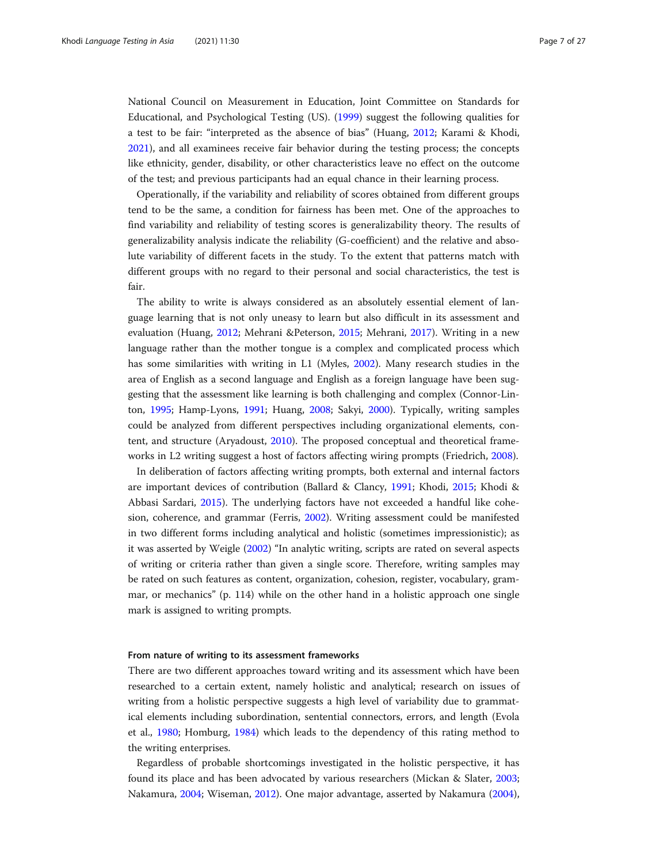National Council on Measurement in Education, Joint Committee on Standards for Educational, and Psychological Testing (US). [\(1999](#page-23-0)) suggest the following qualities for a test to be fair: "interpreted as the absence of bias" (Huang, [2012;](#page-25-0) Karami & Khodi, [2021](#page-25-0)), and all examinees receive fair behavior during the testing process; the concepts like ethnicity, gender, disability, or other characteristics leave no effect on the outcome of the test; and previous participants had an equal chance in their learning process.

Operationally, if the variability and reliability of scores obtained from different groups tend to be the same, a condition for fairness has been met. One of the approaches to find variability and reliability of testing scores is generalizability theory. The results of generalizability analysis indicate the reliability (G-coefficient) and the relative and absolute variability of different facets in the study. To the extent that patterns match with different groups with no regard to their personal and social characteristics, the test is fair.

The ability to write is always considered as an absolutely essential element of language learning that is not only uneasy to learn but also difficult in its assessment and evaluation (Huang, [2012;](#page-25-0) Mehrani &Peterson, [2015](#page-25-0); Mehrani, [2017](#page-25-0)). Writing in a new language rather than the mother tongue is a complex and complicated process which has some similarities with writing in L1 (Myles, [2002\)](#page-25-0). Many research studies in the area of English as a second language and English as a foreign language have been suggesting that the assessment like learning is both challenging and complex (Connor-Linton, [1995;](#page-24-0) Hamp-Lyons, [1991;](#page-24-0) Huang, [2008](#page-24-0); Sakyi, [2000](#page-25-0)). Typically, writing samples could be analyzed from different perspectives including organizational elements, content, and structure (Aryadoust, [2010](#page-23-0)). The proposed conceptual and theoretical frameworks in L2 writing suggest a host of factors affecting wiring prompts (Friedrich, [2008](#page-24-0)).

In deliberation of factors affecting writing prompts, both external and internal factors are important devices of contribution (Ballard & Clancy, [1991](#page-24-0); Khodi, [2015;](#page-25-0) Khodi & Abbasi Sardari, [2015](#page-25-0)). The underlying factors have not exceeded a handful like cohesion, coherence, and grammar (Ferris, [2002\)](#page-24-0). Writing assessment could be manifested in two different forms including analytical and holistic (sometimes impressionistic); as it was asserted by Weigle ([2002\)](#page-26-0) "In analytic writing, scripts are rated on several aspects of writing or criteria rather than given a single score. Therefore, writing samples may be rated on such features as content, organization, cohesion, register, vocabulary, grammar, or mechanics" (p. 114) while on the other hand in a holistic approach one single mark is assigned to writing prompts.

### From nature of writing to its assessment frameworks

There are two different approaches toward writing and its assessment which have been researched to a certain extent, namely holistic and analytical; research on issues of writing from a holistic perspective suggests a high level of variability due to grammatical elements including subordination, sentential connectors, errors, and length (Evola et al., [1980;](#page-24-0) Homburg, [1984](#page-24-0)) which leads to the dependency of this rating method to the writing enterprises.

Regardless of probable shortcomings investigated in the holistic perspective, it has found its place and has been advocated by various researchers (Mickan & Slater, [2003](#page-25-0); Nakamura, [2004](#page-25-0); Wiseman, [2012\)](#page-26-0). One major advantage, asserted by Nakamura ([2004](#page-25-0)),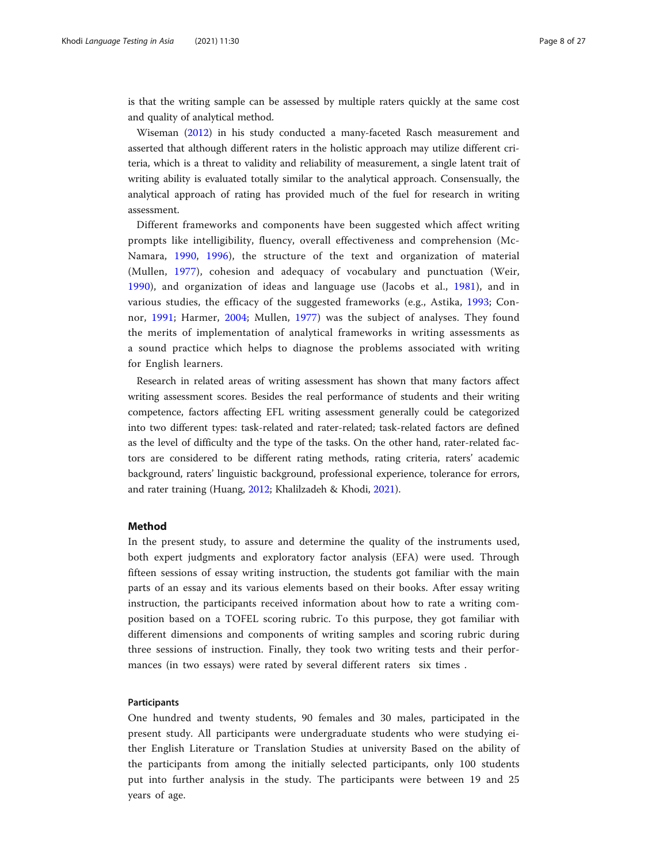is that the writing sample can be assessed by multiple raters quickly at the same cost and quality of analytical method.

Wiseman [\(2012](#page-26-0)) in his study conducted a many-faceted Rasch measurement and asserted that although different raters in the holistic approach may utilize different criteria, which is a threat to validity and reliability of measurement, a single latent trait of writing ability is evaluated totally similar to the analytical approach. Consensually, the analytical approach of rating has provided much of the fuel for research in writing assessment.

Different frameworks and components have been suggested which affect writing prompts like intelligibility, fluency, overall effectiveness and comprehension (Mc-Namara, [1990,](#page-25-0) [1996](#page-25-0)), the structure of the text and organization of material (Mullen, [1977\)](#page-25-0), cohesion and adequacy of vocabulary and punctuation (Weir, [1990](#page-26-0)), and organization of ideas and language use (Jacobs et al., [1981\)](#page-25-0), and in various studies, the efficacy of the suggested frameworks (e.g., Astika, [1993;](#page-23-0) Connor, [1991;](#page-24-0) Harmer, [2004;](#page-24-0) Mullen, [1977\)](#page-25-0) was the subject of analyses. They found the merits of implementation of analytical frameworks in writing assessments as a sound practice which helps to diagnose the problems associated with writing for English learners.

Research in related areas of writing assessment has shown that many factors affect writing assessment scores. Besides the real performance of students and their writing competence, factors affecting EFL writing assessment generally could be categorized into two different types: task-related and rater-related; task-related factors are defined as the level of difficulty and the type of the tasks. On the other hand, rater-related factors are considered to be different rating methods, rating criteria, raters' academic background, raters' linguistic background, professional experience, tolerance for errors, and rater training (Huang, [2012](#page-25-0); Khalilzadeh & Khodi, [2021](#page-25-0)).

#### Method

In the present study, to assure and determine the quality of the instruments used, both expert judgments and exploratory factor analysis (EFA) were used. Through fifteen sessions of essay writing instruction, the students got familiar with the main parts of an essay and its various elements based on their books. After essay writing instruction, the participants received information about how to rate a writing composition based on a TOFEL scoring rubric. To this purpose, they got familiar with different dimensions and components of writing samples and scoring rubric during three sessions of instruction. Finally, they took two writing tests and their performances (in two essays) were rated by several different raters six times .

#### Participants

One hundred and twenty students, 90 females and 30 males, participated in the present study. All participants were undergraduate students who were studying either English Literature or Translation Studies at university Based on the ability of the participants from among the initially selected participants, only 100 students put into further analysis in the study. The participants were between 19 and 25 years of age.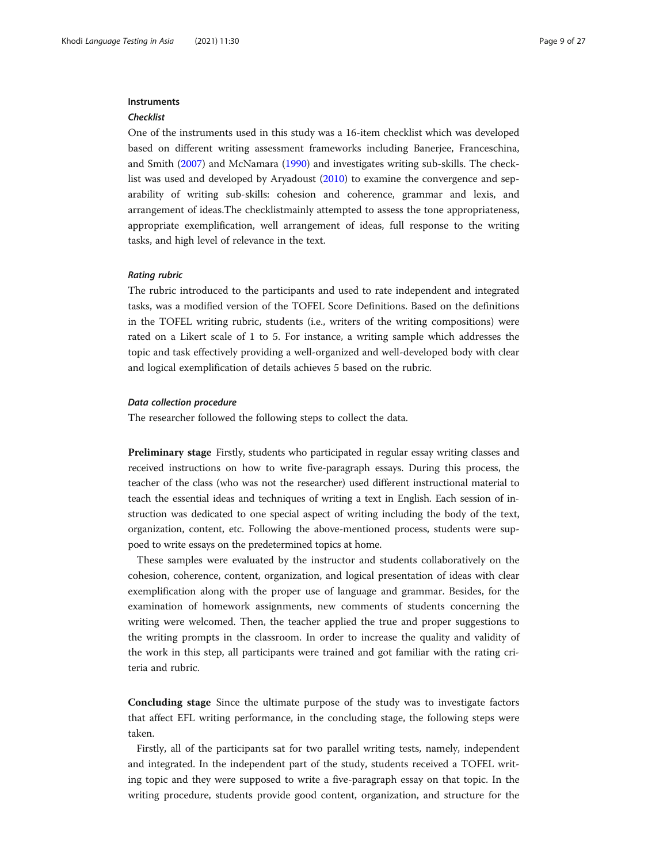#### **Instruments**

#### **Checklist**

One of the instruments used in this study was a 16-item checklist which was developed based on different writing assessment frameworks including Banerjee, Franceschina, and Smith [\(2007\)](#page-24-0) and McNamara [\(1990\)](#page-25-0) and investigates writing sub-skills. The checklist was used and developed by Aryadoust [\(2010\)](#page-23-0) to examine the convergence and separability of writing sub-skills: cohesion and coherence, grammar and lexis, and arrangement of ideas.The checklistmainly attempted to assess the tone appropriateness, appropriate exemplification, well arrangement of ideas, full response to the writing tasks, and high level of relevance in the text.

#### Rating rubric

The rubric introduced to the participants and used to rate independent and integrated tasks, was a modified version of the TOFEL Score Definitions. Based on the definitions in the TOFEL writing rubric, students (i.e., writers of the writing compositions) were rated on a Likert scale of 1 to 5. For instance, a writing sample which addresses the topic and task effectively providing a well-organized and well-developed body with clear and logical exemplification of details achieves 5 based on the rubric.

#### Data collection procedure

The researcher followed the following steps to collect the data.

Preliminary stage Firstly, students who participated in regular essay writing classes and received instructions on how to write five-paragraph essays. During this process, the teacher of the class (who was not the researcher) used different instructional material to teach the essential ideas and techniques of writing a text in English. Each session of instruction was dedicated to one special aspect of writing including the body of the text, organization, content, etc. Following the above-mentioned process, students were suppoed to write essays on the predetermined topics at home.

These samples were evaluated by the instructor and students collaboratively on the cohesion, coherence, content, organization, and logical presentation of ideas with clear exemplification along with the proper use of language and grammar. Besides, for the examination of homework assignments, new comments of students concerning the writing were welcomed. Then, the teacher applied the true and proper suggestions to the writing prompts in the classroom. In order to increase the quality and validity of the work in this step, all participants were trained and got familiar with the rating criteria and rubric.

Concluding stage Since the ultimate purpose of the study was to investigate factors that affect EFL writing performance, in the concluding stage, the following steps were taken.

Firstly, all of the participants sat for two parallel writing tests, namely, independent and integrated. In the independent part of the study, students received a TOFEL writing topic and they were supposed to write a five-paragraph essay on that topic. In the writing procedure, students provide good content, organization, and structure for the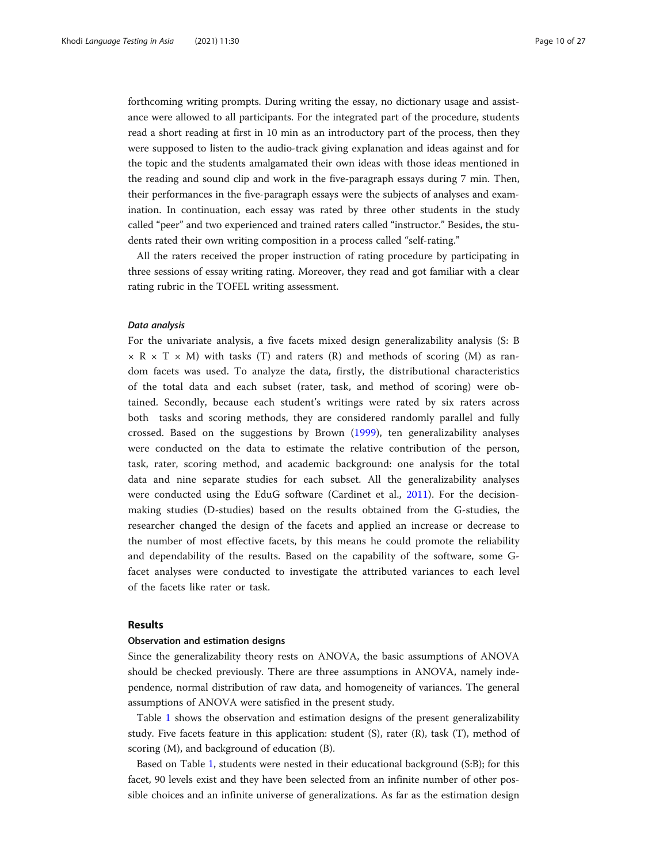forthcoming writing prompts. During writing the essay, no dictionary usage and assistance were allowed to all participants. For the integrated part of the procedure, students read a short reading at first in 10 min as an introductory part of the process, then they were supposed to listen to the audio-track giving explanation and ideas against and for the topic and the students amalgamated their own ideas with those ideas mentioned in the reading and sound clip and work in the five-paragraph essays during 7 min. Then, their performances in the five-paragraph essays were the subjects of analyses and examination. In continuation, each essay was rated by three other students in the study called "peer" and two experienced and trained raters called "instructor." Besides, the students rated their own writing composition in a process called "self-rating."

All the raters received the proper instruction of rating procedure by participating in three sessions of essay writing rating. Moreover, they read and got familiar with a clear rating rubric in the TOFEL writing assessment.

#### Data analysis

For the univariate analysis, a five facets mixed design generalizability analysis (S: B  $\times$  R  $\times$  T  $\times$  M) with tasks (T) and raters (R) and methods of scoring (M) as random facets was used. To analyze the data, firstly, the distributional characteristics of the total data and each subset (rater, task, and method of scoring) were obtained. Secondly, because each student's writings were rated by six raters across both tasks and scoring methods, they are considered randomly parallel and fully crossed. Based on the suggestions by Brown ([1999\)](#page-24-0), ten generalizability analyses were conducted on the data to estimate the relative contribution of the person, task, rater, scoring method, and academic background: one analysis for the total data and nine separate studies for each subset. All the generalizability analyses were conducted using the EduG software (Cardinet et al., [2011\)](#page-24-0). For the decisionmaking studies (D-studies) based on the results obtained from the G-studies, the researcher changed the design of the facets and applied an increase or decrease to the number of most effective facets, by this means he could promote the reliability and dependability of the results. Based on the capability of the software, some Gfacet analyses were conducted to investigate the attributed variances to each level of the facets like rater or task.

#### Results

#### Observation and estimation designs

Since the generalizability theory rests on ANOVA, the basic assumptions of ANOVA should be checked previously. There are three assumptions in ANOVA, namely independence, normal distribution of raw data, and homogeneity of variances. The general assumptions of ANOVA were satisfied in the present study.

Table [1](#page-11-0) shows the observation and estimation designs of the present generalizability study. Five facets feature in this application: student (S), rater (R), task (T), method of scoring (M), and background of education (B).

Based on Table [1](#page-11-0), students were nested in their educational background (S:B); for this facet, 90 levels exist and they have been selected from an infinite number of other possible choices and an infinite universe of generalizations. As far as the estimation design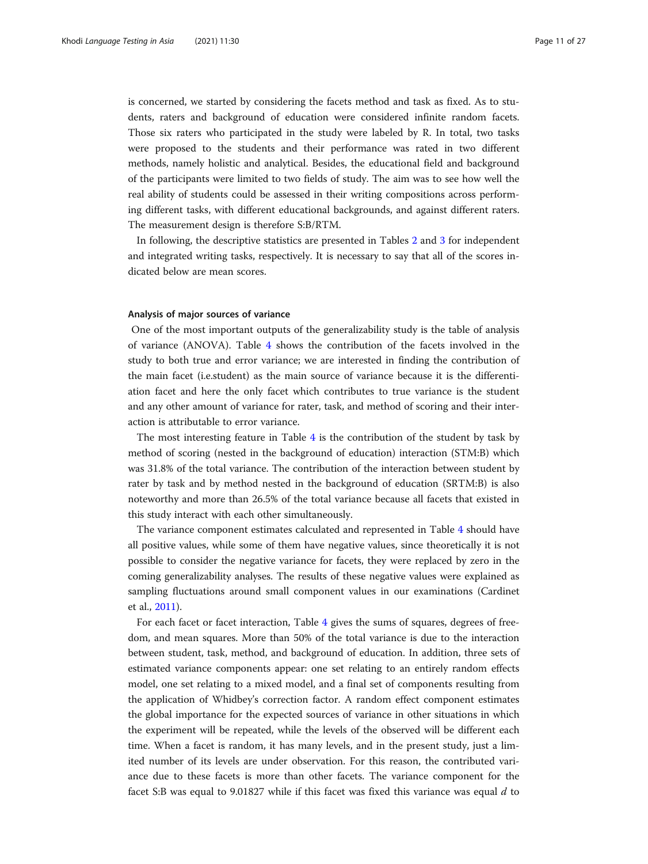is concerned, we started by considering the facets method and task as fixed. As to students, raters and background of education were considered infinite random facets. Those six raters who participated in the study were labeled by R. In total, two tasks were proposed to the students and their performance was rated in two different methods, namely holistic and analytical. Besides, the educational field and background of the participants were limited to two fields of study. The aim was to see how well the real ability of students could be assessed in their writing compositions across performing different tasks, with different educational backgrounds, and against different raters. The measurement design is therefore S:B/RTM.

In following, the descriptive statistics are presented in Tables [2](#page-12-0) and [3](#page-12-0) for independent and integrated writing tasks, respectively. It is necessary to say that all of the scores indicated below are mean scores.

#### Analysis of major sources of variance

One of the most important outputs of the generalizability study is the table of analysis of variance (ANOVA). Table [4](#page-13-0) shows the contribution of the facets involved in the study to both true and error variance; we are interested in finding the contribution of the main facet (i.e.student) as the main source of variance because it is the differentiation facet and here the only facet which contributes to true variance is the student and any other amount of variance for rater, task, and method of scoring and their interaction is attributable to error variance.

The most interesting feature in Table [4](#page-13-0) is the contribution of the student by task by method of scoring (nested in the background of education) interaction (STM:B) which was 31.8% of the total variance. The contribution of the interaction between student by rater by task and by method nested in the background of education (SRTM:B) is also noteworthy and more than 26.5% of the total variance because all facets that existed in this study interact with each other simultaneously.

The variance component estimates calculated and represented in Table [4](#page-13-0) should have all positive values, while some of them have negative values, since theoretically it is not possible to consider the negative variance for facets, they were replaced by zero in the coming generalizability analyses. The results of these negative values were explained as sampling fluctuations around small component values in our examinations (Cardinet et al., [2011\)](#page-24-0).

For each facet or facet interaction, Table [4](#page-13-0) gives the sums of squares, degrees of freedom, and mean squares. More than 50% of the total variance is due to the interaction between student, task, method, and background of education. In addition, three sets of estimated variance components appear: one set relating to an entirely random effects model, one set relating to a mixed model, and a final set of components resulting from the application of Whidbey's correction factor. A random effect component estimates the global importance for the expected sources of variance in other situations in which the experiment will be repeated, while the levels of the observed will be different each time. When a facet is random, it has many levels, and in the present study, just a limited number of its levels are under observation. For this reason, the contributed variance due to these facets is more than other facets. The variance component for the facet S:B was equal to 9.01827 while if this facet was fixed this variance was equal  $d$  to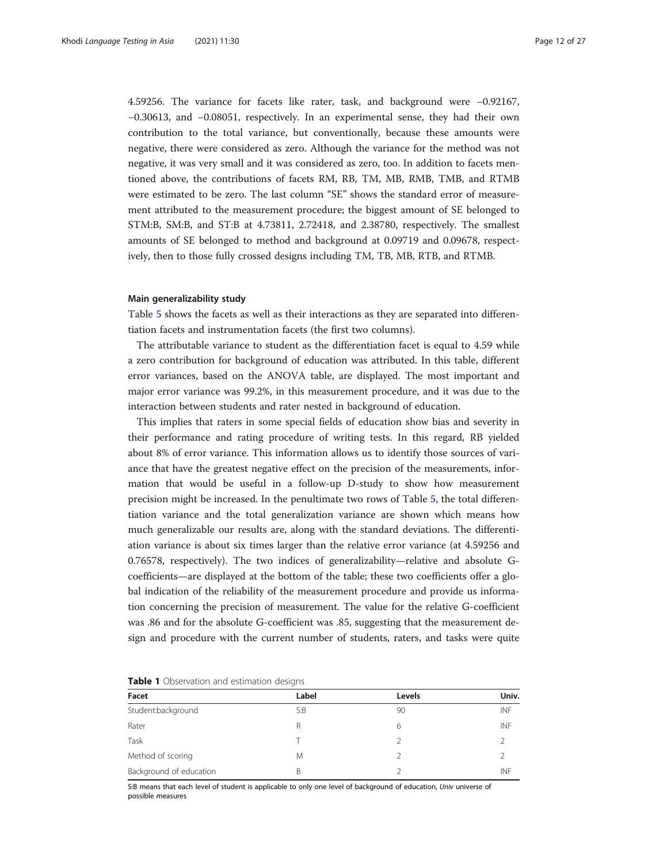<span id="page-11-0"></span>4.59256. The variance for facets like rater, task, and background were −0.92167, −0.30613, and −0.08051, respectively. In an experimental sense, they had their own contribution to the total variance, but conventionally, because these amounts were negative, there were considered as zero. Although the variance for the method was not negative, it was very small and it was considered as zero, too. In addition to facets mentioned above, the contributions of facets RM, RB, TM, MB, RMB, TMB, and RTMB were estimated to be zero. The last column "SE" shows the standard error of measurement attributed to the measurement procedure; the biggest amount of SE belonged to STM:B, SM:B, and ST:B at 4.73811, 2.72418, and 2.38780, respectively. The smallest amounts of SE belonged to method and background at 0.09719 and 0.09678, respectively, then to those fully crossed designs including TM, TB, MB, RTB, and RTMB.

#### Main generalizability study

Table [5](#page-14-0) shows the facets as well as their interactions as they are separated into differentiation facets and instrumentation facets (the first two columns).

The attributable variance to student as the differentiation facet is equal to 4.59 while a zero contribution for background of education was attributed. In this table, different error variances, based on the ANOVA table, are displayed. The most important and major error variance was 99.2%, in this measurement procedure, and it was due to the interaction between students and rater nested in background of education.

This implies that raters in some special fields of education show bias and severity in their performance and rating procedure of writing tests. In this regard, RB yielded about 8% of error variance. This information allows us to identify those sources of variance that have the greatest negative effect on the precision of the measurements, information that would be useful in a follow-up D-study to show how measurement precision might be increased. In the penultimate two rows of Table [5,](#page-14-0) the total differentiation variance and the total generalization variance are shown which means how much generalizable our results are, along with the standard deviations. The differentiation variance is about six times larger than the relative error variance (at 4.59256 and 0.76578, respectively). The two indices of generalizability—relative and absolute Gcoefficients—are displayed at the bottom of the table; these two coefficients offer a global indication of the reliability of the measurement procedure and provide us information concerning the precision of measurement. The value for the relative G-coefficient was .86 and for the absolute G-coefficient was .85, suggesting that the measurement design and procedure with the current number of students, raters, and tasks were quite

| Levels | Univ. |
|--------|-------|
|        |       |
| 90     | INF   |
| 6      | INF   |
|        |       |
|        |       |
|        | INF   |
|        |       |

|  | Table 1 Observation and estimation designs |  |  |
|--|--------------------------------------------|--|--|
|  |                                            |  |  |

S:B means that each level of student is applicable to only one level of background of education, Univ universe of possible measures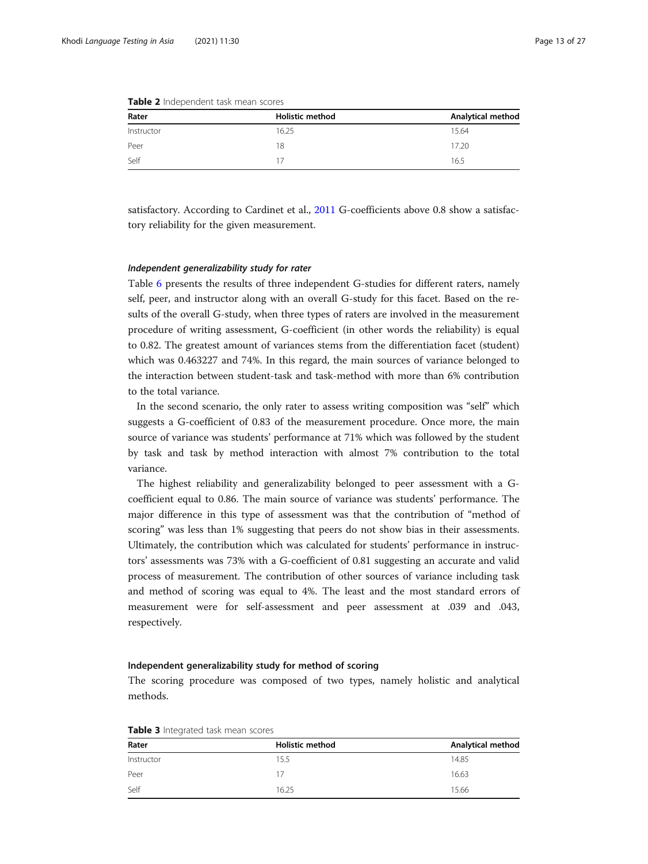| Rater      | <b>Holistic method</b> | Analytical method |
|------------|------------------------|-------------------|
| Instructor | 16.25                  | 15.64             |
| Peer       | 18                     | 17.20             |
| Self       |                        | 16.5              |

<span id="page-12-0"></span>

| Table 2 Independent task mean scores |  |
|--------------------------------------|--|
|--------------------------------------|--|

satisfactory. According to Cardinet et al., [2011](#page-24-0) G-coefficients above 0.8 show a satisfactory reliability for the given measurement.

#### Independent generalizability study for rater

Table [6](#page-16-0) presents the results of three independent G-studies for different raters, namely self, peer, and instructor along with an overall G-study for this facet. Based on the results of the overall G-study, when three types of raters are involved in the measurement procedure of writing assessment, G-coefficient (in other words the reliability) is equal to 0.82. The greatest amount of variances stems from the differentiation facet (student) which was 0.463227 and 74%. In this regard, the main sources of variance belonged to the interaction between student-task and task-method with more than 6% contribution to the total variance.

In the second scenario, the only rater to assess writing composition was "self" which suggests a G-coefficient of 0.83 of the measurement procedure. Once more, the main source of variance was students' performance at 71% which was followed by the student by task and task by method interaction with almost 7% contribution to the total variance.

The highest reliability and generalizability belonged to peer assessment with a Gcoefficient equal to 0.86. The main source of variance was students' performance. The major difference in this type of assessment was that the contribution of "method of scoring" was less than 1% suggesting that peers do not show bias in their assessments. Ultimately, the contribution which was calculated for students' performance in instructors' assessments was 73% with a G-coefficient of 0.81 suggesting an accurate and valid process of measurement. The contribution of other sources of variance including task and method of scoring was equal to 4%. The least and the most standard errors of measurement were for self-assessment and peer assessment at .039 and .043, respectively.

#### Independent generalizability study for method of scoring

The scoring procedure was composed of two types, namely holistic and analytical methods.

| Rater      | <b>Holistic method</b> | Analytical method |
|------------|------------------------|-------------------|
| Instructor | 15.5                   | 14.85             |
| Peer       | 17                     | 16.63             |
| Self       | 16.25                  | 15.66             |

Table 3 Integrated task mean scores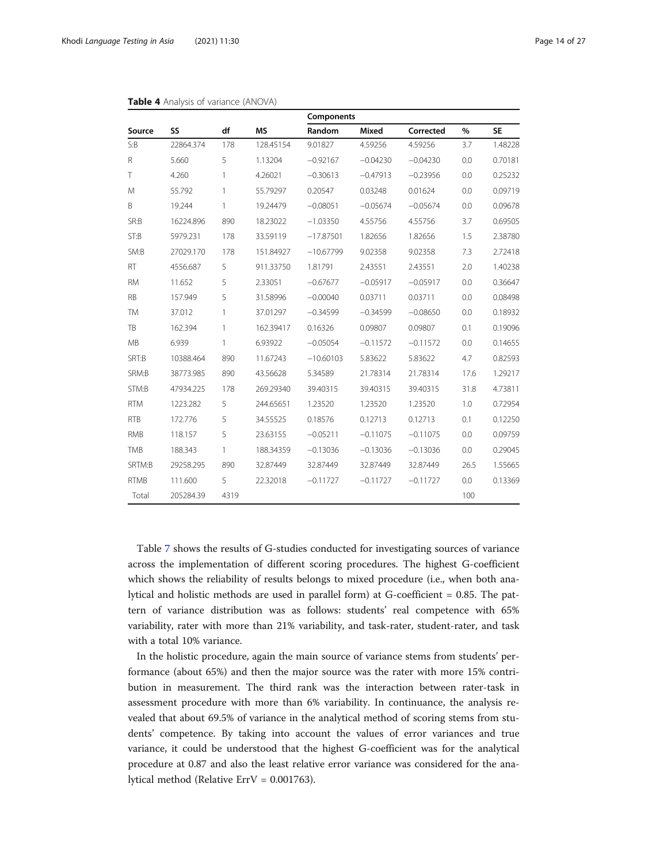|              |           |              |           | Components  |              |            |      |           |
|--------------|-----------|--------------|-----------|-------------|--------------|------------|------|-----------|
| Source       | SS        | df           | <b>MS</b> | Random      | <b>Mixed</b> | Corrected  | %    | <b>SE</b> |
| S:B          | 22864.374 | 178          | 128.45154 | 9.01827     | 4.59256      | 4.59256    | 3.7  | 1.48228   |
| $\mathsf{R}$ | 5.660     | 5            | 1.13204   | $-0.92167$  | $-0.04230$   | $-0.04230$ | 0.0  | 0.70181   |
| T            | 4.260     | 1            | 4.26021   | $-0.30613$  | $-0.47913$   | $-0.23956$ | 0.0  | 0.25232   |
| M            | 55.792    | 1            | 55.79297  | 0.20547     | 0.03248      | 0.01624    | 0.0  | 0.09719   |
| B            | 19.244    | $\mathbf{1}$ | 19.24479  | $-0.08051$  | $-0.05674$   | $-0.05674$ | 0.0  | 0.09678   |
| SR:B         | 16224.896 | 890          | 18.23022  | $-1.03350$  | 4.55756      | 4.55756    | 3.7  | 0.69505   |
| ST:B         | 5979.231  | 178          | 33.59119  | $-17.87501$ | 1.82656      | 1.82656    | 1.5  | 2.38780   |
| SM:B         | 27029.170 | 178          | 151.84927 | $-10.67799$ | 9.02358      | 9.02358    | 7.3  | 2.72418   |
| <b>RT</b>    | 4556.687  | 5            | 911.33750 | 1.81791     | 2.43551      | 2.43551    | 2.0  | 1.40238   |
| <b>RM</b>    | 11.652    | 5            | 2.33051   | $-0.67677$  | $-0.05917$   | $-0.05917$ | 0.0  | 0.36647   |
| <b>RB</b>    | 157.949   | 5            | 31.58996  | $-0.00040$  | 0.03711      | 0.03711    | 0.0  | 0.08498   |
| <b>TM</b>    | 37.012    | $\mathbf{1}$ | 37.01297  | $-0.34599$  | $-0.34599$   | $-0.08650$ | 0.0  | 0.18932   |
| TB           | 162.394   | 1            | 162.39417 | 0.16326     | 0.09807      | 0.09807    | 0.1  | 0.19096   |
| <b>MB</b>    | 6.939     | $\mathbf{1}$ | 6.93922   | $-0.05054$  | $-0.11572$   | $-0.11572$ | 0.0  | 0.14655   |
| SRT:B        | 10388.464 | 890          | 11.67243  | $-10.60103$ | 5.83622      | 5.83622    | 4.7  | 0.82593   |
| SRM:B        | 38773.985 | 890          | 43.56628  | 5.34589     | 21.78314     | 21.78314   | 17.6 | 1.29217   |
| STM:B        | 47934.225 | 178          | 269.29340 | 39.40315    | 39.40315     | 39.40315   | 31.8 | 4.73811   |
| <b>RTM</b>   | 1223.282  | 5            | 244.65651 | 1.23520     | 1.23520      | 1.23520    | 1.0  | 0.72954   |
| <b>RTB</b>   | 172.776   | 5            | 34.55525  | 0.18576     | 0.12713      | 0.12713    | 0.1  | 0.12250   |
| <b>RMB</b>   | 118.157   | 5            | 23.63155  | $-0.05211$  | $-0.11075$   | $-0.11075$ | 0.0  | 0.09759   |
| <b>TMB</b>   | 188.343   | 1            | 188.34359 | $-0.13036$  | $-0.13036$   | $-0.13036$ | 0.0  | 0.29045   |
| SRTM:B       | 29258.295 | 890          | 32.87449  | 32.87449    | 32.87449     | 32.87449   | 26.5 | 1.55665   |
| <b>RTMB</b>  | 111.600   | 5            | 22.32018  | $-0.11727$  | $-0.11727$   | $-0.11727$ | 0.0  | 0.13369   |
| Total        | 205284.39 | 4319         |           |             |              |            | 100  |           |

#### <span id="page-13-0"></span>Table 4 Analysis of variance (ANOVA)

Table [7](#page-17-0) shows the results of G-studies conducted for investigating sources of variance across the implementation of different scoring procedures. The highest G-coefficient which shows the reliability of results belongs to mixed procedure (i.e., when both analytical and holistic methods are used in parallel form) at G-coefficient = 0.85. The pattern of variance distribution was as follows: students' real competence with 65% variability, rater with more than 21% variability, and task-rater, student-rater, and task with a total 10% variance.

In the holistic procedure, again the main source of variance stems from students' performance (about 65%) and then the major source was the rater with more 15% contribution in measurement. The third rank was the interaction between rater-task in assessment procedure with more than 6% variability. In continuance, the analysis revealed that about 69.5% of variance in the analytical method of scoring stems from students' competence. By taking into account the values of error variances and true variance, it could be understood that the highest G-coefficient was for the analytical procedure at 0.87 and also the least relative error variance was considered for the analytical method (Relative ErrV = 0.001763).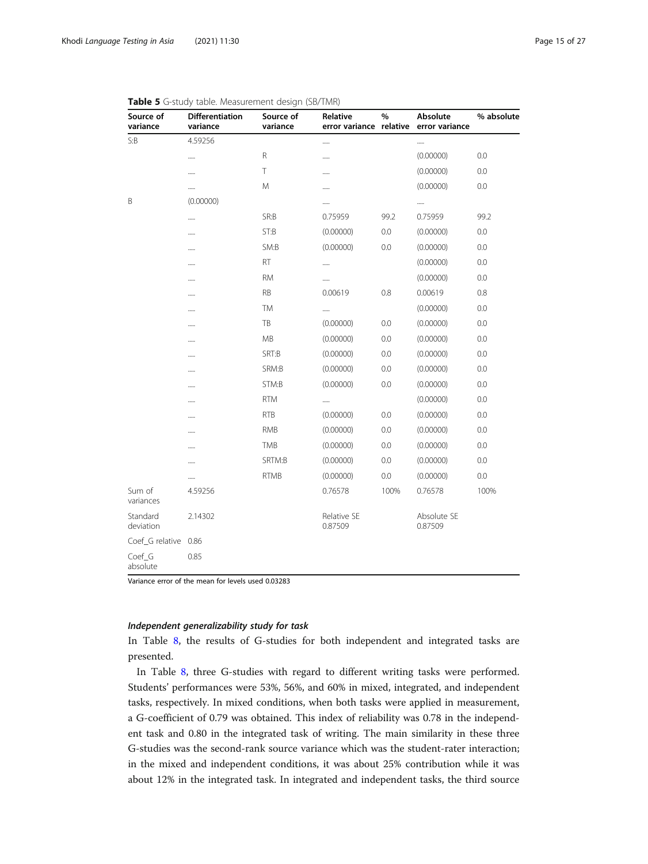| Source of<br>variance | <b>Differentiation</b><br>variance | Source of<br>variance | Relative<br>error variance | %<br>relative | Absolute<br>error variance | % absolute |
|-----------------------|------------------------------------|-----------------------|----------------------------|---------------|----------------------------|------------|
| S:B                   | 4.59256                            |                       |                            |               |                            |            |
|                       |                                    | $\mathsf R$           |                            |               | (0.00000)                  | 0.0        |
|                       |                                    | Τ                     |                            |               | (0.00000)                  | 0.0        |
|                       |                                    | M                     |                            |               | (0.00000)                  | 0.0        |
| Β                     | (0.00000)                          |                       |                            |               | $\cdots$                   |            |
|                       |                                    | SR:B                  | 0.75959                    | 99.2          | 0.75959                    | 99.2       |
|                       |                                    | ST:B                  | (0.00000)                  | 0.0           | (0.00000)                  | 0.0        |
|                       |                                    | SM:B                  | (0.00000)                  | 0.0           | (0.00000)                  | 0.0        |
|                       |                                    | RT                    |                            |               | (0.00000)                  | 0.0        |
|                       |                                    | <b>RM</b>             |                            |               | (0.00000)                  | 0.0        |
|                       |                                    | <b>RB</b>             | 0.00619                    | 0.8           | 0.00619                    | 0.8        |
|                       |                                    | <b>TM</b>             |                            |               | (0.00000)                  | 0.0        |
|                       |                                    | TB                    | (0.00000)                  | 0.0           | (0.00000)                  | 0.0        |
|                       |                                    | MB                    | (0.00000)                  | 0.0           | (0.00000)                  | 0.0        |
|                       |                                    | SRT:B                 | (0.00000)                  | 0.0           | (0.00000)                  | 0.0        |
|                       |                                    | SRM:B                 | (0.00000)                  | 0.0           | (0.00000)                  | 0.0        |
|                       |                                    | STM:B                 | (0.00000)                  | 0.0           | (0.00000)                  | 0.0        |
|                       |                                    | <b>RTM</b>            |                            |               | (0.00000)                  | 0.0        |
|                       |                                    | <b>RTB</b>            | (0.00000)                  | 0.0           | (0.00000)                  | 0.0        |
|                       |                                    | <b>RMB</b>            | (0.00000)                  | 0.0           | (0.00000)                  | 0.0        |
|                       |                                    | <b>TMB</b>            | (0.00000)                  | 0.0           | (0.00000)                  | 0.0        |
|                       |                                    | SRTM:B                | (0.00000)                  | 0.0           | (0.00000)                  | 0.0        |
|                       |                                    | <b>RTMB</b>           | (0.00000)                  | 0.0           | (0.00000)                  | 0.0        |
| Sum of<br>variances   | 4.59256                            |                       | 0.76578                    | 100%          | 0.76578                    | 100%       |
| Standard<br>deviation | 2.14302                            |                       | Relative SE<br>0.87509     |               | Absolute SE<br>0.87509     |            |
| Coef_G relative       | 0.86                               |                       |                            |               |                            |            |
| Coef_G<br>absolute    | 0.85                               |                       |                            |               |                            |            |

<span id="page-14-0"></span>

Variance error of the mean for levels used 0.03283

#### Independent generalizability study for task

In Table [8](#page-18-0), the results of G-studies for both independent and integrated tasks are presented.

In Table [8](#page-18-0), three G-studies with regard to different writing tasks were performed. Students' performances were 53%, 56%, and 60% in mixed, integrated, and independent tasks, respectively. In mixed conditions, when both tasks were applied in measurement, a G-coefficient of 0.79 was obtained. This index of reliability was 0.78 in the independent task and 0.80 in the integrated task of writing. The main similarity in these three G-studies was the second-rank source variance which was the student-rater interaction; in the mixed and independent conditions, it was about 25% contribution while it was about 12% in the integrated task. In integrated and independent tasks, the third source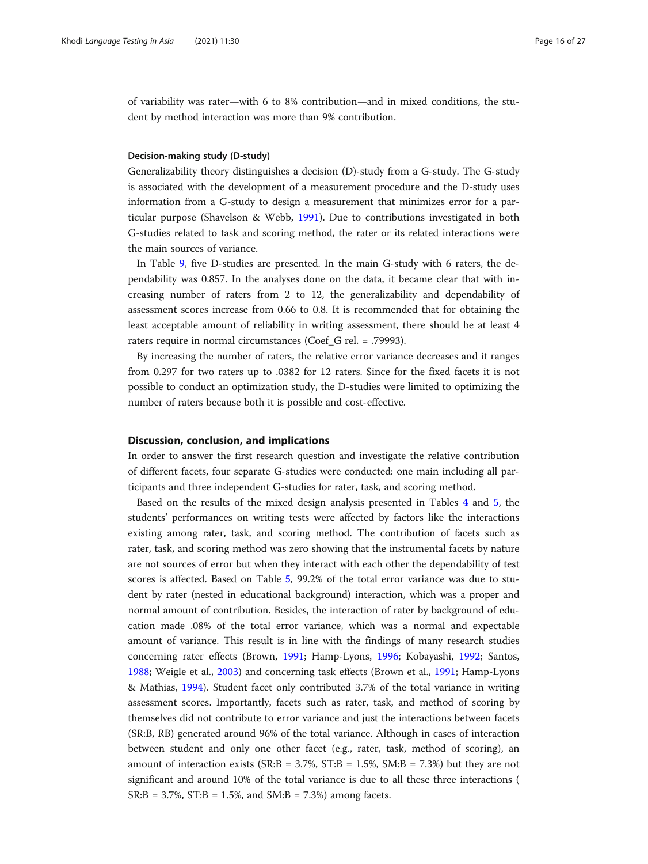of variability was rater—with 6 to 8% contribution—and in mixed conditions, the student by method interaction was more than 9% contribution.

#### Decision-making study (D-study)

Generalizability theory distinguishes a decision (D)-study from a G-study. The G-study is associated with the development of a measurement procedure and the D-study uses information from a G-study to design a measurement that minimizes error for a particular purpose (Shavelson & Webb, [1991](#page-25-0)). Due to contributions investigated in both G-studies related to task and scoring method, the rater or its related interactions were the main sources of variance.

In Table [9,](#page-19-0) five D-studies are presented. In the main G-study with 6 raters, the dependability was 0.857. In the analyses done on the data, it became clear that with increasing number of raters from 2 to 12, the generalizability and dependability of assessment scores increase from 0.66 to 0.8. It is recommended that for obtaining the least acceptable amount of reliability in writing assessment, there should be at least 4 raters require in normal circumstances (Coef\_G rel. = .79993).

By increasing the number of raters, the relative error variance decreases and it ranges from 0.297 for two raters up to .0382 for 12 raters. Since for the fixed facets it is not possible to conduct an optimization study, the D-studies were limited to optimizing the number of raters because both it is possible and cost-effective.

#### Discussion, conclusion, and implications

In order to answer the first research question and investigate the relative contribution of different facets, four separate G-studies were conducted: one main including all participants and three independent G-studies for rater, task, and scoring method.

Based on the results of the mixed design analysis presented in Tables [4](#page-13-0) and [5,](#page-14-0) the students' performances on writing tests were affected by factors like the interactions existing among rater, task, and scoring method. The contribution of facets such as rater, task, and scoring method was zero showing that the instrumental facets by nature are not sources of error but when they interact with each other the dependability of test scores is affected. Based on Table [5](#page-14-0), 99.2% of the total error variance was due to student by rater (nested in educational background) interaction, which was a proper and normal amount of contribution. Besides, the interaction of rater by background of education made .08% of the total error variance, which was a normal and expectable amount of variance. This result is in line with the findings of many research studies concerning rater effects (Brown, [1991;](#page-24-0) Hamp-Lyons, [1996](#page-24-0); Kobayashi, [1992;](#page-25-0) Santos, [1988](#page-25-0); Weigle et al., [2003](#page-26-0)) and concerning task effects (Brown et al., [1991](#page-24-0); Hamp-Lyons & Mathias, [1994\)](#page-24-0). Student facet only contributed 3.7% of the total variance in writing assessment scores. Importantly, facets such as rater, task, and method of scoring by themselves did not contribute to error variance and just the interactions between facets (SR:B, RB) generated around 96% of the total variance. Although in cases of interaction between student and only one other facet (e.g., rater, task, method of scoring), an amount of interaction exists (SR:B = 3.7%, ST:B = 1.5%, SM:B = 7.3%) but they are not significant and around 10% of the total variance is due to all these three interactions (  $SR:B = 3.7\%, ST:B = 1.5\%, and SM:B = 7.3\%$  among facets.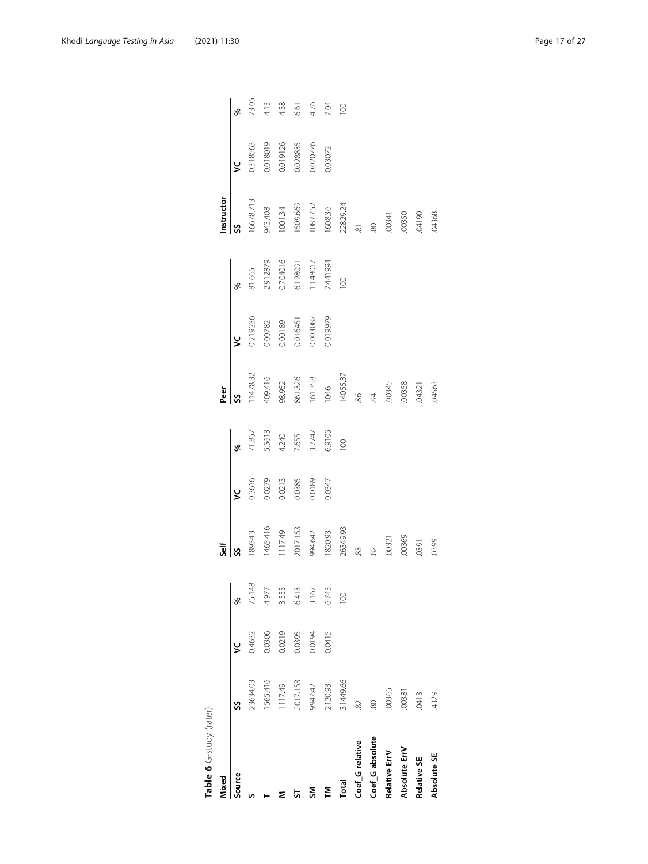<span id="page-16-0"></span>

| Source          |           |        |        | ă         |        |        | Peer     |          |                  | Instructor      |          |       |
|-----------------|-----------|--------|--------|-----------|--------|--------|----------|----------|------------------|-----------------|----------|-------|
|                 | SS        | ئ      | ℅      | S         | ئ      | ৡ      | SS       | ئ        | ℅                | SS              | ٧        | శ     |
|                 | 23634.03  | 0.4632 | 75.148 | 18934.3   | 0.3616 | 71.857 | 1478.32  | 0.219236 | 81.665           | 16678.713       | 0.318563 | 73.05 |
|                 | 1565.416  | 0.0306 | 4.977  | 1465.416  | 0.0279 | 5.5613 | 409.416  | 0.00782  | 2.912879         | 943.408         | 0.018019 | 4.13  |
| Σ               | 1117.49   | 0.0219 | 3.553  | 1117.49   | 0.0213 | 4.240  | 98.952   | 0.00189  | 0.704016         | 1001.34         | 0.019126 | 4.38  |
| 능               | 2017.153  | 0.0395 | 6.413  | 2017.153  | 0.0385 | 7.655  | 861.326  | 0.016451 | 6.128091         | 1509.669        | 0.028835 | 6.61  |
| ŠÑ              | 994.642   | 0.0194 | 3.162  | 994.642   | 0.0189 | 3.7747 | 161.358  | 0.003082 | 1.148017         | 1087.752        | 0.020776 | 4.76  |
| ξ               | 2120.93   | 0.0415 | 6.743  | 1820.93   | 0.0347 | 6.9105 | 1046     | 0.019979 | 7.441994         | 1608.36         | 0.03072  | 7.04  |
| Total           | 31449.66  |        | 100    | 26349.93  |        | 100    | 14055.37 |          | $\overline{100}$ | 22829.24        |          | 100   |
| Coef_G relative | $\approx$ |        |        | 83        |        |        | 86       |          |                  | $\overline{81}$ |          |       |
| Coef_G absolute | 80        |        |        | $\approx$ |        |        | si       |          |                  | 80              |          |       |
| Relative ErrV   | .00365    |        |        | .00321    |        |        | 00345    |          |                  | 00341           |          |       |
| Absolute ErrV   | .00381    |        |        | 00369     |        |        | 00358    |          |                  | 00350           |          |       |
| Relative SE     | .0413     |        |        | .0391     |        |        | 04321    |          |                  | 04190           |          |       |
| Absolute SE     | 4329      |        |        | 0399      |        |        | 04563    |          |                  | .04368          |          |       |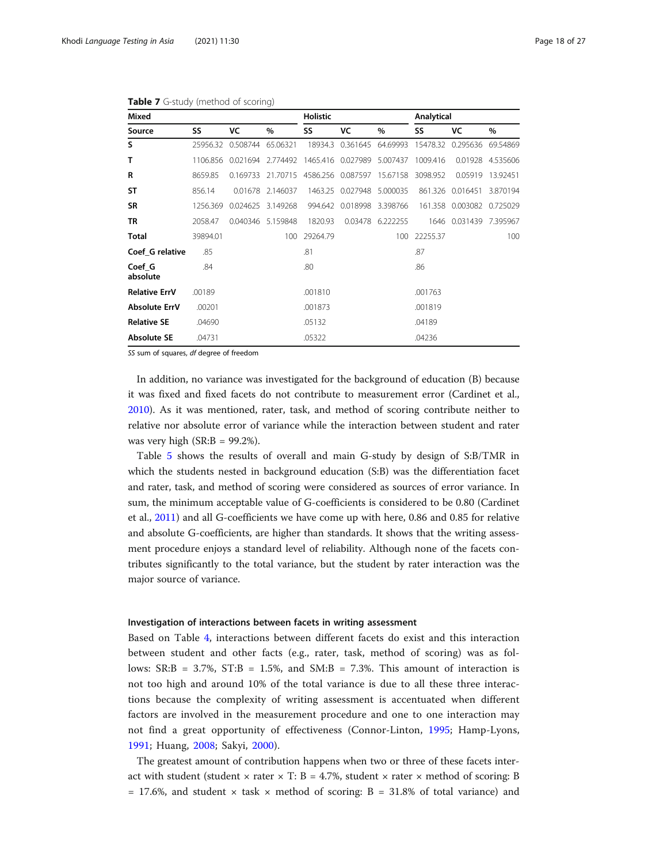| <b>Mixed</b>         |          |          |                   | <b>Holistic</b> |          |          | Analytical |                        |          |
|----------------------|----------|----------|-------------------|-----------------|----------|----------|------------|------------------------|----------|
| Source               | SS       | VC       | %                 | SS              | VC       | $\%$     | SS         | VC                     | %        |
| S                    | 25956.32 | 0.508744 | 65.06321          | 18934.3         | 0.361645 | 64.69993 | 15478.32   | 0.295636               | 69.54869 |
| т                    | 1106.856 | 0.021694 | 2.774492          | 1465.416        | 0.027989 | 5.007437 | 1009.416   | 0.01928                | 4.535606 |
| R                    | 8659.85  | 0.169733 | 21.70715          | 4586.256        | 0.087597 | 15.67158 | 3098.952   | 0.05919                | 13.92451 |
| <b>ST</b>            | 856.14   | 0.01678  | 2.146037          | 1463.25         | 0.027948 | 5.000035 | 861.326    | 0.016451               | 3.870194 |
| <b>SR</b>            | 1256.369 | 0.024625 | 3.149268          | 994.642         | 0.018998 | 3.398766 | 161.358    | 0.003082               | 0.725029 |
| <b>TR</b>            | 2058.47  |          | 0.040346 5.159848 | 1820.93         | 0.03478  | 6.222255 |            | 1646 0.031439 7.395967 |          |
| Total                | 39894.01 |          | 100               | 29264.79        |          | 100      | 22255.37   |                        | 100      |
| Coef_G relative      | .85      |          |                   | .81             |          |          | .87        |                        |          |
| Coef G<br>absolute   | .84      |          |                   | .80             |          |          | .86        |                        |          |
| <b>Relative ErrV</b> | .00189   |          |                   | .001810         |          |          | .001763    |                        |          |
| <b>Absolute ErrV</b> | .00201   |          |                   | .001873         |          |          | .001819    |                        |          |
| <b>Relative SE</b>   | .04690   |          |                   | .05132          |          |          | .04189     |                        |          |
| <b>Absolute SE</b>   | .04731   |          |                   | .05322          |          |          | .04236     |                        |          |

<span id="page-17-0"></span>Table 7 G-study (method of scoring)

SS sum of squares, df degree of freedom

In addition, no variance was investigated for the background of education (B) because it was fixed and fixed facets do not contribute to measurement error (Cardinet et al., [2010](#page-24-0)). As it was mentioned, rater, task, and method of scoring contribute neither to relative nor absolute error of variance while the interaction between student and rater was very high  $(SR:B = 99.2\%)$ .

Table [5](#page-14-0) shows the results of overall and main G-study by design of S:B/TMR in which the students nested in background education (S:B) was the differentiation facet and rater, task, and method of scoring were considered as sources of error variance. In sum, the minimum acceptable value of G-coefficients is considered to be 0.80 (Cardinet et al., [2011\)](#page-24-0) and all G-coefficients we have come up with here, 0.86 and 0.85 for relative and absolute G-coefficients, are higher than standards. It shows that the writing assessment procedure enjoys a standard level of reliability. Although none of the facets contributes significantly to the total variance, but the student by rater interaction was the major source of variance.

#### Investigation of interactions between facets in writing assessment

Based on Table [4,](#page-13-0) interactions between different facets do exist and this interaction between student and other facts (e.g., rater, task, method of scoring) was as follows:  $S \text{R:B} = 3.7\%$ ,  $S \text{T:B} = 1.5\%$ , and  $S \text{M:B} = 7.3\%$ . This amount of interaction is not too high and around 10% of the total variance is due to all these three interactions because the complexity of writing assessment is accentuated when different factors are involved in the measurement procedure and one to one interaction may not find a great opportunity of effectiveness (Connor-Linton, [1995;](#page-24-0) Hamp-Lyons, [1991;](#page-24-0) Huang, [2008;](#page-24-0) Sakyi, [2000\)](#page-25-0).

The greatest amount of contribution happens when two or three of these facets interact with student (student  $\times$  rater  $\times$  T: B = 4.7%, student  $\times$  rater  $\times$  method of scoring: B = 17.6%, and student  $\times$  task  $\times$  method of scoring: B = 31.8% of total variance) and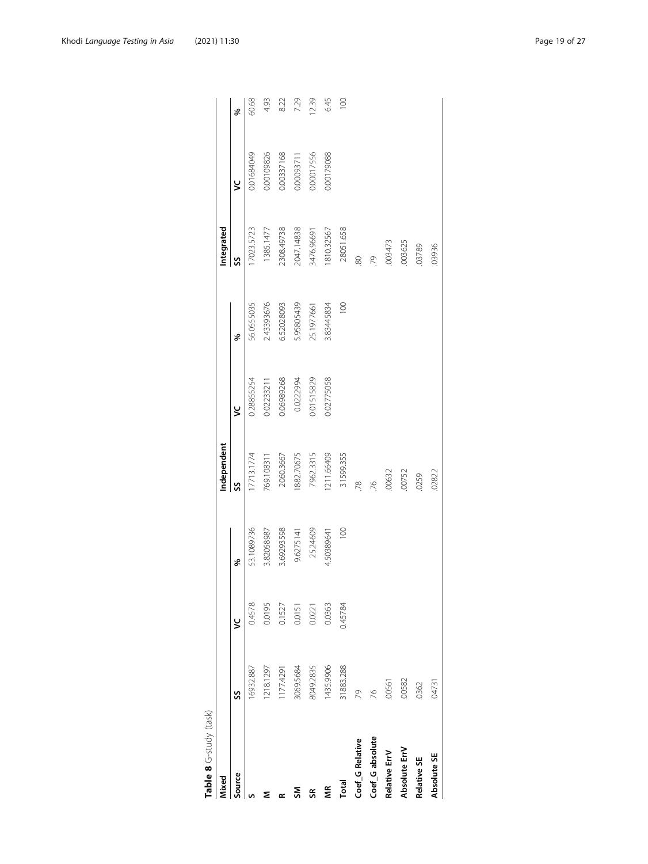<span id="page-18-0"></span>

| Integrated<br>2047.14838<br>2308.49738<br>28051.658<br>1385.1477<br>17023.5723<br>1810.32567<br>3476.96691<br>003473<br>.003625<br>03789<br>80<br>SS<br>79<br>2.43393676<br>5.95805439<br>100<br>56.0555035<br>6.52028093<br>3.83445834<br>25.1977661<br>శ<br>0.06989268<br>0.01515829<br>0.02775058<br>0.0222994<br>0.28855254<br>0.02233211<br>پ<br>1211.66409<br>1882.70675<br>7962.3315<br>17713.1774<br>769.108311<br>31599.355<br>2060.3667<br>.00632<br>.00752<br>.0259<br>Ŗ.<br>Й.<br>S<br>3.69293598<br>100<br>53.1089736<br>25.24609<br>3.82058987<br>9.6275141<br>4.50389641<br>శ<br>0.4578<br>0.0195<br>0.0363<br>0.1527<br>0.45784<br>0.0151<br>0.0221<br>ي<br>1435.9906<br>31883.288<br>3069.5684<br>8049.2835<br>1218.1297<br>16932.887<br>1177.4291<br>.00582<br>.00561<br>.0362<br>Ŗ<br>76.<br>SS<br>Coef_G absolute<br>Coef_G Relative<br>Absolute ErrV<br><b>Relative ErrV</b><br>Relative SE<br>Source<br>Mixed<br>€<br>š<br>£€<br>Σ | Table 8 G-study (task) |  |             |  |        |            |                |
|----------------------------------------------------------------------------------------------------------------------------------------------------------------------------------------------------------------------------------------------------------------------------------------------------------------------------------------------------------------------------------------------------------------------------------------------------------------------------------------------------------------------------------------------------------------------------------------------------------------------------------------------------------------------------------------------------------------------------------------------------------------------------------------------------------------------------------------------------------------------------------------------------------------------------------------------------------|------------------------|--|-------------|--|--------|------------|----------------|
|                                                                                                                                                                                                                                                                                                                                                                                                                                                                                                                                                                                                                                                                                                                                                                                                                                                                                                                                                          |                        |  | Independent |  |        |            |                |
|                                                                                                                                                                                                                                                                                                                                                                                                                                                                                                                                                                                                                                                                                                                                                                                                                                                                                                                                                          |                        |  |             |  |        | ٧          | ℅              |
|                                                                                                                                                                                                                                                                                                                                                                                                                                                                                                                                                                                                                                                                                                                                                                                                                                                                                                                                                          |                        |  |             |  |        | 0.01684049 | 60.68          |
|                                                                                                                                                                                                                                                                                                                                                                                                                                                                                                                                                                                                                                                                                                                                                                                                                                                                                                                                                          |                        |  |             |  |        | 0.00109826 | 4.93           |
| Total                                                                                                                                                                                                                                                                                                                                                                                                                                                                                                                                                                                                                                                                                                                                                                                                                                                                                                                                                    |                        |  |             |  |        | 0.00337168 | 8.22           |
|                                                                                                                                                                                                                                                                                                                                                                                                                                                                                                                                                                                                                                                                                                                                                                                                                                                                                                                                                          |                        |  |             |  |        | 0.00093711 | 7.29           |
|                                                                                                                                                                                                                                                                                                                                                                                                                                                                                                                                                                                                                                                                                                                                                                                                                                                                                                                                                          |                        |  |             |  |        | 0.00017556 | 1239           |
|                                                                                                                                                                                                                                                                                                                                                                                                                                                                                                                                                                                                                                                                                                                                                                                                                                                                                                                                                          |                        |  |             |  |        | 0.00179088 | 6.45           |
|                                                                                                                                                                                                                                                                                                                                                                                                                                                                                                                                                                                                                                                                                                                                                                                                                                                                                                                                                          |                        |  |             |  |        |            | $\overline{5}$ |
|                                                                                                                                                                                                                                                                                                                                                                                                                                                                                                                                                                                                                                                                                                                                                                                                                                                                                                                                                          |                        |  |             |  |        |            |                |
|                                                                                                                                                                                                                                                                                                                                                                                                                                                                                                                                                                                                                                                                                                                                                                                                                                                                                                                                                          |                        |  |             |  |        |            |                |
|                                                                                                                                                                                                                                                                                                                                                                                                                                                                                                                                                                                                                                                                                                                                                                                                                                                                                                                                                          |                        |  |             |  |        |            |                |
|                                                                                                                                                                                                                                                                                                                                                                                                                                                                                                                                                                                                                                                                                                                                                                                                                                                                                                                                                          |                        |  |             |  |        |            |                |
|                                                                                                                                                                                                                                                                                                                                                                                                                                                                                                                                                                                                                                                                                                                                                                                                                                                                                                                                                          |                        |  |             |  |        |            |                |
| Absolute SE                                                                                                                                                                                                                                                                                                                                                                                                                                                                                                                                                                                                                                                                                                                                                                                                                                                                                                                                              | .04731                 |  | .02822      |  | .03936 |            |                |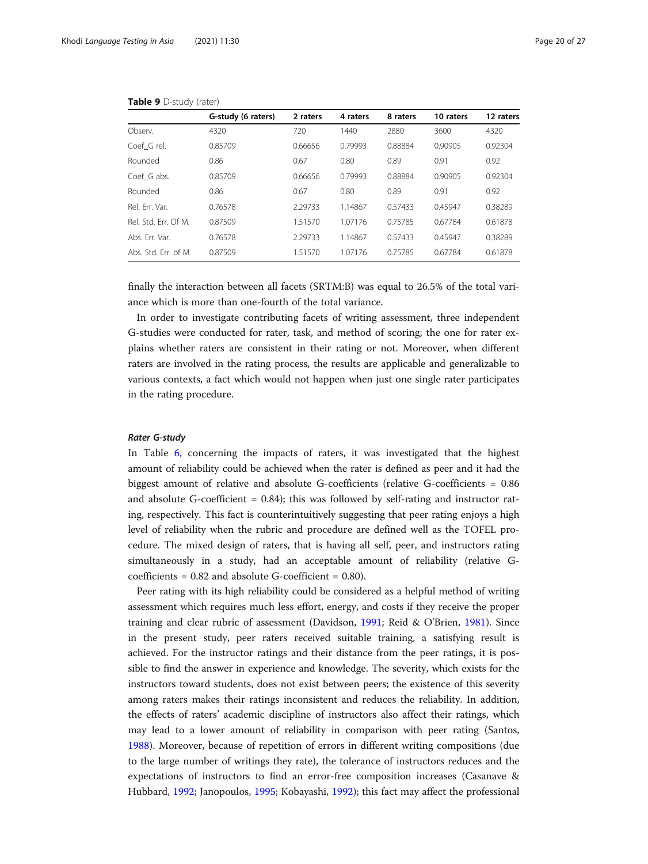|                      | G-study (6 raters) | 2 raters | 4 raters | 8 raters | 10 raters | 12 raters |
|----------------------|--------------------|----------|----------|----------|-----------|-----------|
| Observ.              | 4320               | 720      | 1440     | 2880     | 3600      | 4320      |
| Coef G rel.          | 0.85709            | 0.66656  | 0.79993  | 0.88884  | 0.90905   | 0.92304   |
| Rounded              | 0.86               | 0.67     | 0.80     | 0.89     | 0.91      | 0.92      |
| Coef G abs.          | 0.85709            | 0.66656  | 0.79993  | 0.88884  | 0.90905   | 0.92304   |
| Rounded              | 0.86               | 0.67     | 0.80     | 0.89     | 0.91      | 0.92      |
| Rel. Frr. Var.       | 0.76578            | 2.29733  | 1.14867  | 0.57433  | 0.45947   | 0.38289   |
| Rel. Std. Frr. Of M. | 0.87509            | 1.51570  | 1.07176  | 0.75785  | 0.67784   | 0.61878   |
| Abs. Frr. Var.       | 0.76578            | 2.29733  | 1.14867  | 0.57433  | 0.45947   | 0.38289   |
| Abs. Std. Frr. of M. | 0.87509            | 1.51570  | 1.07176  | 0.75785  | 0.67784   | 0.61878   |

<span id="page-19-0"></span>

| Table 9 D-study (rater) |  |
|-------------------------|--|
|-------------------------|--|

finally the interaction between all facets (SRTM:B) was equal to 26.5% of the total variance which is more than one-fourth of the total variance.

In order to investigate contributing facets of writing assessment, three independent G-studies were conducted for rater, task, and method of scoring; the one for rater explains whether raters are consistent in their rating or not. Moreover, when different raters are involved in the rating process, the results are applicable and generalizable to various contexts, a fact which would not happen when just one single rater participates in the rating procedure.

#### Rater G-study

In Table [6](#page-16-0), concerning the impacts of raters, it was investigated that the highest amount of reliability could be achieved when the rater is defined as peer and it had the biggest amount of relative and absolute G-coefficients (relative G-coefficients = 0.86 and absolute G-coefficient =  $0.84$ ); this was followed by self-rating and instructor rating, respectively. This fact is counterintuitively suggesting that peer rating enjoys a high level of reliability when the rubric and procedure are defined well as the TOFEL procedure. The mixed design of raters, that is having all self, peer, and instructors rating simultaneously in a study, had an acceptable amount of reliability (relative Gcoefficients =  $0.82$  and absolute G-coefficient =  $0.80$ ).

Peer rating with its high reliability could be considered as a helpful method of writing assessment which requires much less effort, energy, and costs if they receive the proper training and clear rubric of assessment (Davidson, [1991](#page-24-0); Reid & O'Brien, [1981\)](#page-25-0). Since in the present study, peer raters received suitable training, a satisfying result is achieved. For the instructor ratings and their distance from the peer ratings, it is possible to find the answer in experience and knowledge. The severity, which exists for the instructors toward students, does not exist between peers; the existence of this severity among raters makes their ratings inconsistent and reduces the reliability. In addition, the effects of raters' academic discipline of instructors also affect their ratings, which may lead to a lower amount of reliability in comparison with peer rating (Santos, [1988](#page-25-0)). Moreover, because of repetition of errors in different writing compositions (due to the large number of writings they rate), the tolerance of instructors reduces and the expectations of instructors to find an error-free composition increases (Casanave & Hubbard, [1992;](#page-24-0) Janopoulos, [1995](#page-25-0); Kobayashi, [1992\)](#page-25-0); this fact may affect the professional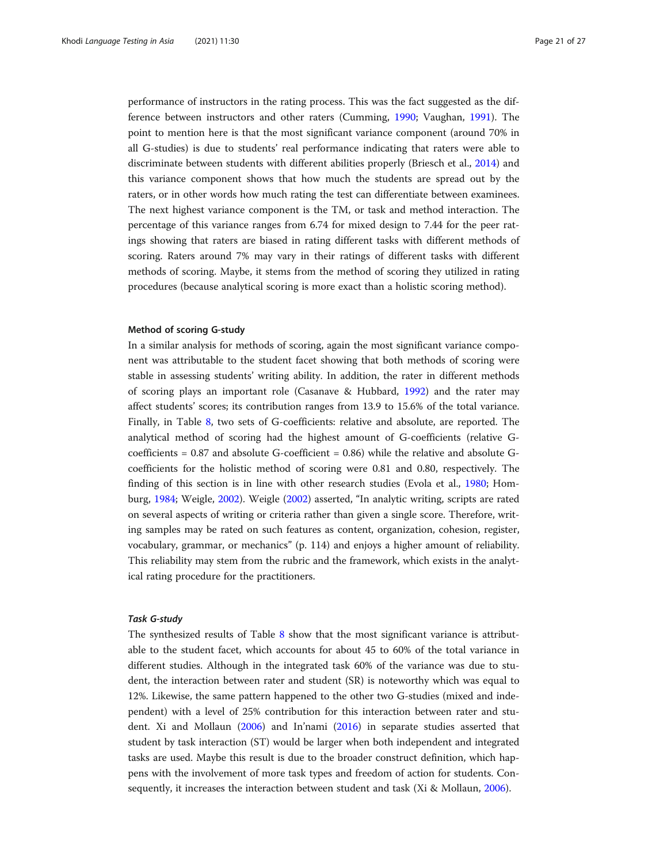performance of instructors in the rating process. This was the fact suggested as the difference between instructors and other raters (Cumming, [1990](#page-24-0); Vaughan, [1991\)](#page-25-0). The point to mention here is that the most significant variance component (around 70% in all G-studies) is due to students' real performance indicating that raters were able to discriminate between students with different abilities properly (Briesch et al., [2014](#page-24-0)) and this variance component shows that how much the students are spread out by the raters, or in other words how much rating the test can differentiate between examinees. The next highest variance component is the TM, or task and method interaction. The percentage of this variance ranges from 6.74 for mixed design to 7.44 for the peer ratings showing that raters are biased in rating different tasks with different methods of scoring. Raters around 7% may vary in their ratings of different tasks with different methods of scoring. Maybe, it stems from the method of scoring they utilized in rating procedures (because analytical scoring is more exact than a holistic scoring method).

#### Method of scoring G-study

In a similar analysis for methods of scoring, again the most significant variance component was attributable to the student facet showing that both methods of scoring were stable in assessing students' writing ability. In addition, the rater in different methods of scoring plays an important role (Casanave & Hubbard, [1992](#page-24-0)) and the rater may affect students' scores; its contribution ranges from 13.9 to 15.6% of the total variance. Finally, in Table [8](#page-18-0), two sets of G-coefficients: relative and absolute, are reported. The analytical method of scoring had the highest amount of G-coefficients (relative Gcoefficients = 0.87 and absolute G-coefficient = 0.86) while the relative and absolute Gcoefficients for the holistic method of scoring were 0.81 and 0.80, respectively. The finding of this section is in line with other research studies (Evola et al., [1980](#page-24-0); Homburg, [1984](#page-24-0); Weigle, [2002](#page-26-0)). Weigle [\(2002](#page-26-0)) asserted, "In analytic writing, scripts are rated on several aspects of writing or criteria rather than given a single score. Therefore, writing samples may be rated on such features as content, organization, cohesion, register, vocabulary, grammar, or mechanics" (p. 114) and enjoys a higher amount of reliability. This reliability may stem from the rubric and the framework, which exists in the analytical rating procedure for the practitioners.

#### Task G-study

The synthesized results of Table [8](#page-18-0) show that the most significant variance is attributable to the student facet, which accounts for about 45 to 60% of the total variance in different studies. Although in the integrated task 60% of the variance was due to student, the interaction between rater and student (SR) is noteworthy which was equal to 12%. Likewise, the same pattern happened to the other two G-studies (mixed and independent) with a level of 25% contribution for this interaction between rater and student. Xi and Mollaun [\(2006\)](#page-26-0) and In'nami ([2016](#page-25-0)) in separate studies asserted that student by task interaction (ST) would be larger when both independent and integrated tasks are used. Maybe this result is due to the broader construct definition, which happens with the involvement of more task types and freedom of action for students. Consequently, it increases the interaction between student and task (Xi & Mollaun, [2006\)](#page-26-0).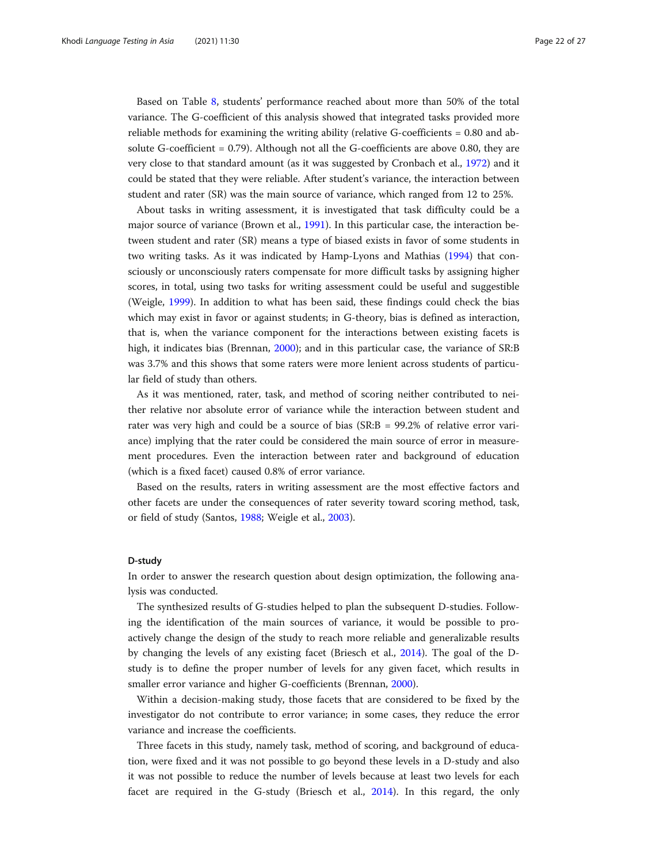Based on Table [8](#page-18-0), students' performance reached about more than 50% of the total variance. The G-coefficient of this analysis showed that integrated tasks provided more reliable methods for examining the writing ability (relative G-coefficients = 0.80 and absolute G-coefficient = 0.79). Although not all the G-coefficients are above 0.80, they are very close to that standard amount (as it was suggested by Cronbach et al., [1972\)](#page-24-0) and it could be stated that they were reliable. After student's variance, the interaction between student and rater (SR) was the main source of variance, which ranged from 12 to 25%.

About tasks in writing assessment, it is investigated that task difficulty could be a major source of variance (Brown et al., [1991](#page-24-0)). In this particular case, the interaction between student and rater (SR) means a type of biased exists in favor of some students in two writing tasks. As it was indicated by Hamp-Lyons and Mathias ([1994\)](#page-24-0) that consciously or unconsciously raters compensate for more difficult tasks by assigning higher scores, in total, using two tasks for writing assessment could be useful and suggestible (Weigle, [1999\)](#page-26-0). In addition to what has been said, these findings could check the bias which may exist in favor or against students; in G-theory, bias is defined as interaction, that is, when the variance component for the interactions between existing facets is high, it indicates bias (Brennan, [2000\)](#page-24-0); and in this particular case, the variance of SR:B was 3.7% and this shows that some raters were more lenient across students of particular field of study than others.

As it was mentioned, rater, task, and method of scoring neither contributed to neither relative nor absolute error of variance while the interaction between student and rater was very high and could be a source of bias (SR:B = 99.2% of relative error variance) implying that the rater could be considered the main source of error in measurement procedures. Even the interaction between rater and background of education (which is a fixed facet) caused 0.8% of error variance.

Based on the results, raters in writing assessment are the most effective factors and other facets are under the consequences of rater severity toward scoring method, task, or field of study (Santos, [1988](#page-25-0); Weigle et al., [2003](#page-26-0)).

#### D-study

In order to answer the research question about design optimization, the following analysis was conducted.

The synthesized results of G-studies helped to plan the subsequent D-studies. Following the identification of the main sources of variance, it would be possible to proactively change the design of the study to reach more reliable and generalizable results by changing the levels of any existing facet (Briesch et al., [2014\)](#page-24-0). The goal of the Dstudy is to define the proper number of levels for any given facet, which results in smaller error variance and higher G-coefficients (Brennan, [2000](#page-24-0)).

Within a decision-making study, those facets that are considered to be fixed by the investigator do not contribute to error variance; in some cases, they reduce the error variance and increase the coefficients.

Three facets in this study, namely task, method of scoring, and background of education, were fixed and it was not possible to go beyond these levels in a D-study and also it was not possible to reduce the number of levels because at least two levels for each facet are required in the G-study (Briesch et al., [2014](#page-24-0)). In this regard, the only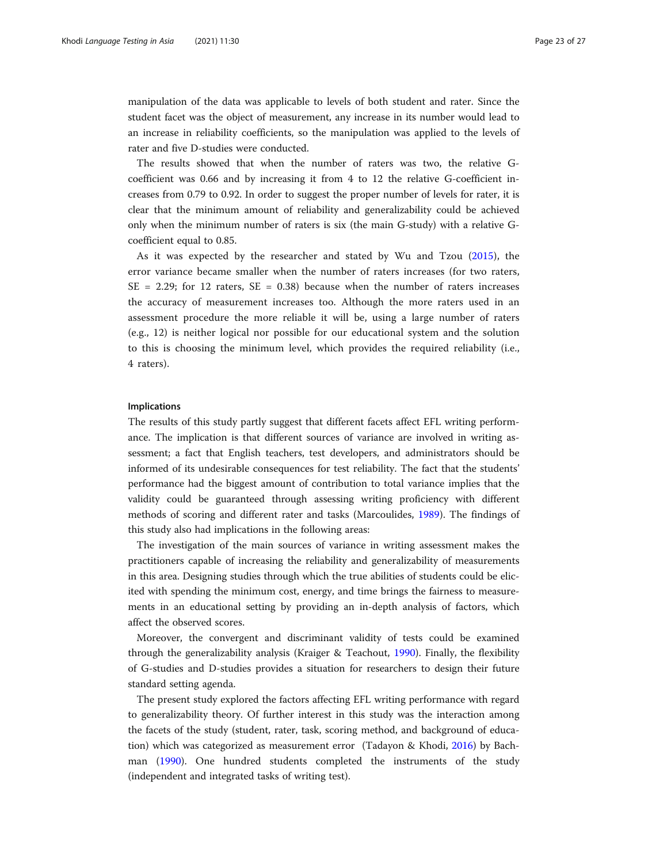manipulation of the data was applicable to levels of both student and rater. Since the student facet was the object of measurement, any increase in its number would lead to an increase in reliability coefficients, so the manipulation was applied to the levels of rater and five D-studies were conducted.

The results showed that when the number of raters was two, the relative Gcoefficient was 0.66 and by increasing it from 4 to 12 the relative G-coefficient increases from 0.79 to 0.92. In order to suggest the proper number of levels for rater, it is clear that the minimum amount of reliability and generalizability could be achieved only when the minimum number of raters is six (the main G-study) with a relative Gcoefficient equal to 0.85.

As it was expected by the researcher and stated by Wu and Tzou ([2015\)](#page-26-0), the error variance became smaller when the number of raters increases (for two raters,  $SE = 2.29$ ; for 12 raters,  $SE = 0.38$ ) because when the number of raters increases the accuracy of measurement increases too. Although the more raters used in an assessment procedure the more reliable it will be, using a large number of raters (e.g., 12) is neither logical nor possible for our educational system and the solution to this is choosing the minimum level, which provides the required reliability (i.e., 4 raters).

#### Implications

The results of this study partly suggest that different facets affect EFL writing performance. The implication is that different sources of variance are involved in writing assessment; a fact that English teachers, test developers, and administrators should be informed of its undesirable consequences for test reliability. The fact that the students' performance had the biggest amount of contribution to total variance implies that the validity could be guaranteed through assessing writing proficiency with different methods of scoring and different rater and tasks (Marcoulides, [1989](#page-25-0)). The findings of this study also had implications in the following areas:

The investigation of the main sources of variance in writing assessment makes the practitioners capable of increasing the reliability and generalizability of measurements in this area. Designing studies through which the true abilities of students could be elicited with spending the minimum cost, energy, and time brings the fairness to measurements in an educational setting by providing an in-depth analysis of factors, which affect the observed scores.

Moreover, the convergent and discriminant validity of tests could be examined through the generalizability analysis (Kraiger & Teachout, [1990\)](#page-25-0). Finally, the flexibility of G-studies and D-studies provides a situation for researchers to design their future standard setting agenda.

The present study explored the factors affecting EFL writing performance with regard to generalizability theory. Of further interest in this study was the interaction among the facets of the study (student, rater, task, scoring method, and background of education) which was categorized as measurement error (Tadayon & Khodi, [2016\)](#page-25-0) by Bachman ([1990\)](#page-23-0). One hundred students completed the instruments of the study (independent and integrated tasks of writing test).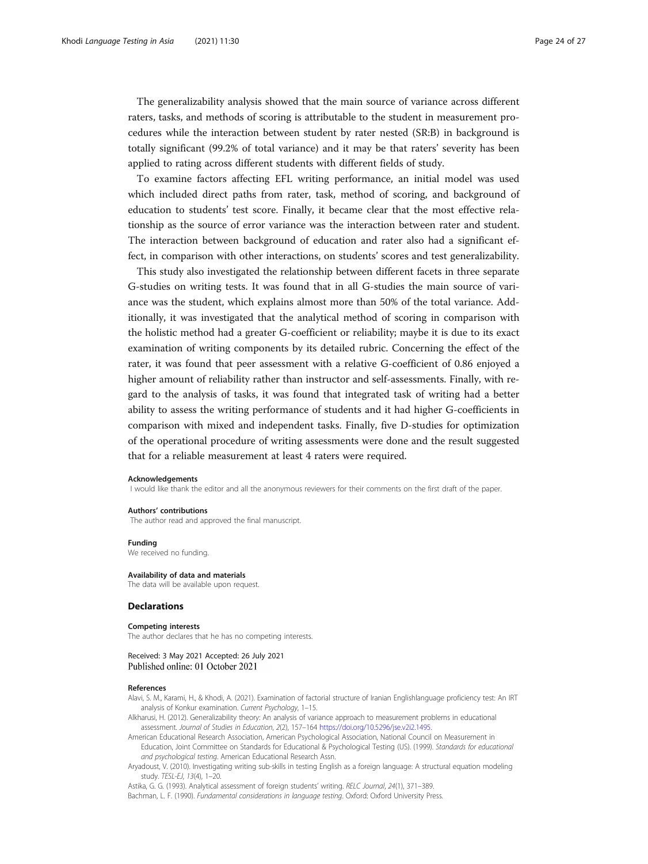<span id="page-23-0"></span>The generalizability analysis showed that the main source of variance across different raters, tasks, and methods of scoring is attributable to the student in measurement procedures while the interaction between student by rater nested (SR:B) in background is totally significant (99.2% of total variance) and it may be that raters' severity has been applied to rating across different students with different fields of study.

To examine factors affecting EFL writing performance, an initial model was used which included direct paths from rater, task, method of scoring, and background of education to students' test score. Finally, it became clear that the most effective relationship as the source of error variance was the interaction between rater and student. The interaction between background of education and rater also had a significant effect, in comparison with other interactions, on students' scores and test generalizability.

This study also investigated the relationship between different facets in three separate G-studies on writing tests. It was found that in all G-studies the main source of variance was the student, which explains almost more than 50% of the total variance. Additionally, it was investigated that the analytical method of scoring in comparison with the holistic method had a greater G-coefficient or reliability; maybe it is due to its exact examination of writing components by its detailed rubric. Concerning the effect of the rater, it was found that peer assessment with a relative G-coefficient of 0.86 enjoyed a higher amount of reliability rather than instructor and self-assessments. Finally, with regard to the analysis of tasks, it was found that integrated task of writing had a better ability to assess the writing performance of students and it had higher G-coefficients in comparison with mixed and independent tasks. Finally, five D-studies for optimization of the operational procedure of writing assessments were done and the result suggested that for a reliable measurement at least 4 raters were required.

#### Acknowledgements

I would like thank the editor and all the anonymous reviewers for their comments on the first draft of the paper.

#### Authors' contributions

The author read and approved the final manuscript.

Funding

We received no funding.

# Availability of data and materials

The data will be available upon request.

#### **Declarations**

#### Competing interests

The author declares that he has no competing interests.

#### Received: 3 May 2021 Accepted: 26 July 2021 Published online: 01 October 2021

#### References

- Alavi, S. M., Karami, H., & Khodi, A. (2021). Examination of factorial structure of Iranian Englishlanguage proficiency test: An IRT analysis of Konkur examination. Current Psychology, 1–15.
- Alkharusi, H. (2012). Generalizability theory: An analysis of variance approach to measurement problems in educational assessment. Journal of Studies in Education, 2(2), 157–164 <https://doi.org/10.5296/jse.v2i2.1495>.
- American Educational Research Association, American Psychological Association, National Council on Measurement in Education, Joint Committee on Standards for Educational & Psychological Testing (US). (1999). Standards for educational and psychological testing. American Educational Research Assn.
- Aryadoust, V. (2010). Investigating writing sub-skills in testing English as a foreign language: A structural equation modeling study. TESL-EJ, 13(4), 1–20.

Astika, G. G. (1993). Analytical assessment of foreign students' writing. RELC Journal, 24(1), 371–389.

Bachman, L. F. (1990). Fundamental considerations in language testing. Oxford: Oxford University Press.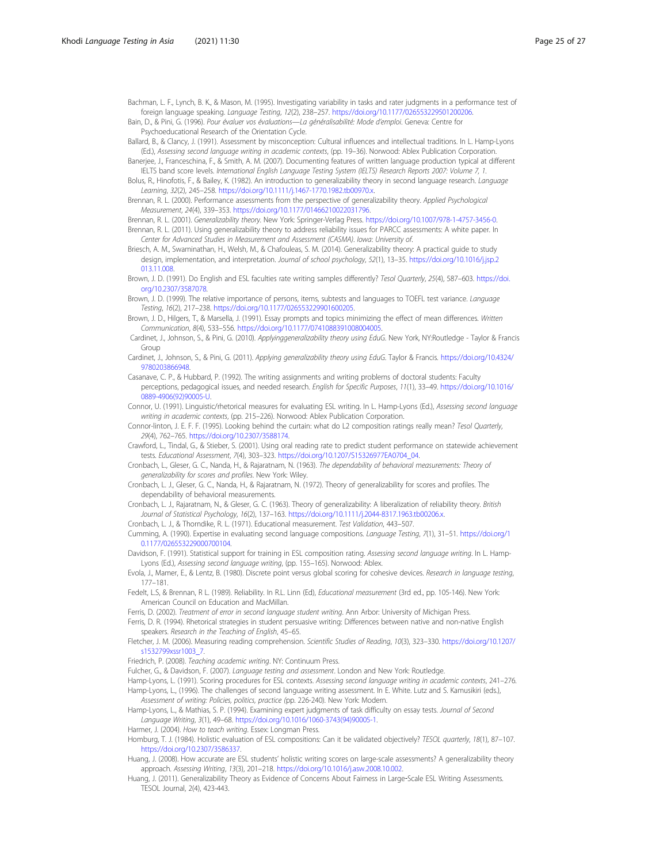<span id="page-24-0"></span>Bachman, L. F., Lynch, B. K., & Mason, M. (1995). Investigating variability in tasks and rater judgments in a performance test of foreign language speaking. Language Testing, 12(2), 238–257. <https://doi.org/10.1177/026553229501200206>.

Bain, D., & Pini, G. (1996). Pour évaluer vos évaluations—La généralisabilité: Mode d'emploi. Geneva: Centre for Psychoeducational Research of the Orientation Cycle.

Ballard, B., & Clancy, J. (1991). Assessment by misconception: Cultural influences and intellectual traditions. In L. Hamp-Lyons (Ed.), Assessing second language writing in academic contexts, (pp. 19–36). Norwood: Ablex Publication Corporation.

Banerjee, J., Franceschina, F., & Smith, A. M. (2007). Documenting features of written language production typical at different IELTS band score levels. International English Language Testing System (IELTS) Research Reports 2007: Volume 7, 1.

Bolus, R., Hinofotis, F., & Bailey, K. (1982). An introduction to generalizability theory in second language research. Language Learning, 32(2), 245–258. [https://doi.org/10.1111/j.1467-1770.1982.tb00970.x.](https://doi.org/10.1111/j.1467-1770.1982.tb00970.x)

Brennan, R. L. (2000). Performance assessments from the perspective of generalizability theory. Applied Psychological Measurement, 24(4), 339–353. [https://doi.org/10.1177/01466210022031796.](https://doi.org/10.1177/01466210022031796)

Brennan, R. L. (2001). Generalizability theory. New York: Springer-Verlag Press. <https://doi.org/10.1007/978-1-4757-3456-0>.

Brennan, R. L. (2011). Using generalizability theory to address reliability issues for PARCC assessments: A white paper. In Center for Advanced Studies in Measurement and Assessment (CASMA). Iowa: University of.

Briesch, A. M., Swaminathan, H., Welsh, M., & Chafouleas, S. M. (2014). Generalizability theory: A practical guide to study design, implementation, and interpretation. Journal of school psychology, 52(1), 13-35. [https://doi.org/10.1016/j.jsp.2](https://doi.org/10.1016/j.jsp.2013.11.008) [013.11.008](https://doi.org/10.1016/j.jsp.2013.11.008).

Brown, J. D. (1991). Do English and ESL faculties rate writing samples differently? Tesol Quarterly, 25(4), 587–603. [https://doi.](https://doi.org/10.2307/3587078) [org/10.2307/3587078.](https://doi.org/10.2307/3587078)

Brown, J. D. (1999). The relative importance of persons, items, subtests and languages to TOEFL test variance. Language Testing, 16(2), 217–238. <https://doi.org/10.1177/026553229901600205>.

Brown, J. D., Hilgers, T., & Marsella, J. (1991). Essay prompts and topics minimizing the effect of mean differences. Written Communication, 8(4), 533–556. <https://doi.org/10.1177/0741088391008004005>.

Cardinet, J., Johnson, S., & Pini, G. (2010). Applyinggeneralizability theory using EduG. New York, NY:Routledge - Taylor & Francis Group

Cardinet, J., Johnson, S., & Pini, G. (2011). Applying generalizability theory using EduG. Taylor & Francis. [https://doi.org/10.4324/](https://doi.org/10.4324/9780203866948) [9780203866948.](https://doi.org/10.4324/9780203866948)

Casanave, C. P., & Hubbard, P. (1992). The writing assignments and writing problems of doctoral students: Faculty perceptions, pedagogical issues, and needed research. English for Specific Purposes, 11(1), 33–49. [https://doi.org/10.1016/](https://doi.org/10.1016/0889-4906(92)90005-U) [0889-4906\(92\)90005-U](https://doi.org/10.1016/0889-4906(92)90005-U).

Connor, U. (1991). Linguistic/rhetorical measures for evaluating ESL writing. In L. Hamp-Lyons (Ed.), Assessing second language writing in academic contexts, (pp. 215–226). Norwood: Ablex Publication Corporation.

Connor-linton, J. E. F. F. (1995). Looking behind the curtain: what do L2 composition ratings really mean? Tesol Quarterly, 29(4), 762–765. <https://doi.org/10.2307/3588174>.

Crawford, L., Tindal, G., & Stieber, S. (2001). Using oral reading rate to predict student performance on statewide achievement tests. Educational Assessment, 7(4), 303–323. [https://doi.org/10.1207/S15326977EA0704\\_04.](https://doi.org/10.1207/S15326977EA0704_04)

Cronbach, L., Gleser, G. C., Nanda, H., & Rajaratnam, N. (1963). The dependability of behavioral measurements: Theory of generalizability for scores and profiles. New York: Wiley.

Cronbach, L. J., Gleser, G. C., Nanda, H., & Rajaratnam, N. (1972). Theory of generalizability for scores and profiles. The dependability of behavioral measurements.

Cronbach, L. J., Rajaratnam, N., & Gleser, G. C. (1963). Theory of generalizability: A liberalization of reliability theory. British Journal of Statistical Psychology, 16(2), 137–163. [https://doi.org/10.1111/j.2044-8317.1963.tb00206.x.](https://doi.org/10.1111/j.2044-8317.1963.tb00206.x)

Cronbach, L. J., & Thorndike, R. L. (1971). Educational measurement. Test Validation, 443–507.

Cumming, A. (1990). Expertise in evaluating second language compositions. Language Testing, 7(1), 31–51. [https://doi.org/1](https://doi.org/10.1177/026553229000700104) [0.1177/026553229000700104.](https://doi.org/10.1177/026553229000700104)

Davidson, F. (1991). Statistical support for training in ESL composition rating. Assessing second language writing. In L. Hamp-Lyons (Ed.), Assessing second language writing, (pp. 155–165). Norwood: Ablex.

Evola, J., Mamer, E., & Lentz, B. (1980). Discrete point versus global scoring for cohesive devices. Research in language testing, 177–181.

Fedelt, L.S, & Brennan, R L. (1989). Reliability. In R.L. Linn (Ed), Educational measurement (3rd ed., pp. 105-146). New York: American Council on Education and MacMillan.

Ferris, D. (2002). Treatment of error in second language student writing. Ann Arbor: University of Michigan Press.

Ferris, D. R. (1994). Rhetorical strategies in student persuasive writing: Differences between native and non-native English speakers. Research in the Teaching of English, 45–65.

Fletcher, J. M. (2006). Measuring reading comprehension. Scientific Studies of Reading, 10(3), 323–330. [https://doi.org/10.1207/](https://doi.org/10.1207/s1532799xssr1003_7) [s1532799xssr1003\\_7](https://doi.org/10.1207/s1532799xssr1003_7).

Friedrich, P. (2008). Teaching academic writing. NY: Continuum Press.

Fulcher, G., & Davidson, F. (2007). Language testing and assessment. London and New York: Routledge.

Hamp-Lyons, L. (1991). Scoring procedures for ESL contexts. Assessing second language writing in academic contexts, 241–276. Hamp-Lyons, L., (1996). The challenges of second language writing assessment. In E. White. Lutz and S. Kamusikiri (eds.), Assessment of writing: Policies, politics, practice (pp. 226-240). New York: Modern.

Hamp-Lyons, L., & Mathias, S. P. (1994). Examining expert judgments of task difficulty on essay tests. Journal of Second Language Writing, 3(1), 49–68. [https://doi.org/10.1016/1060-3743\(94\)90005-1](https://doi.org/10.1016/1060-3743(94)90005-1).

Harmer, J. (2004). How to teach writing. Essex: Longman Press.

Homburg, T. J. (1984). Holistic evaluation of ESL compositions: Can it be validated objectively? TESOL quarterly, 18(1), 87–107. [https://doi.org/10.2307/3586337.](https://doi.org/10.2307/3586337)

Huang, J. (2008). How accurate are ESL students' holistic writing scores on large-scale assessments? A generalizability theory approach. Assessing Writing, 13(3), 201–218. [https://doi.org/10.1016/j.asw.2008.10.002.](https://doi.org/10.1016/j.asw.2008.10.002)

Huang, J. (2011). Generalizability Theory as Evidence of Concerns About Fairness in Large‐Scale ESL Writing Assessments. TESOL Journal, 2(4), 423-443.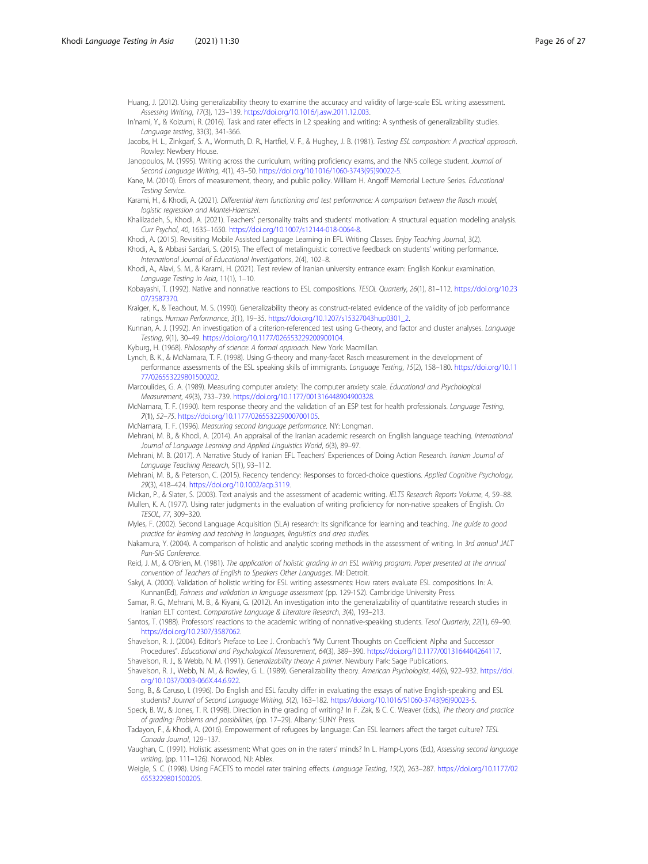<span id="page-25-0"></span>Huang, J. (2012). Using generalizability theory to examine the accuracy and validity of large-scale ESL writing assessment. Assessing Writing, 17(3), 123–139. <https://doi.org/10.1016/j.asw.2011.12.003>.

In'nami, Y., & Koizumi, R. (2016). Task and rater effects in L2 speaking and writing: A synthesis of generalizability studies. Language testing, 33(3), 341-366.

Jacobs, H. L., Zinkgarf, S. A., Wormuth, D. R., Hartfiel, V. F., & Hughey, J. B. (1981). Testing ESL composition: A practical approach. Rowley: Newbery House.

Janopoulos, M. (1995). Writing across the curriculum, writing proficiency exams, and the NNS college student. Journal of Second Language Writing, 4(1), 43–50. [https://doi.org/10.1016/1060-3743\(95\)90022-5.](https://doi.org/10.1016/1060-3743(95)90022-5)

- Kane, M. (2010). Errors of measurement, theory, and public policy. William H. Angoff Memorial Lecture Series. Educational Testing Service.
- Karami, H., & Khodi, A. (2021). Differential item functioning and test performance: A comparison between the Rasch model, logistic regression and Mantel-Haenszel.

Khalilzadeh, S., Khodi, A. (2021). Teachers' personality traits and students' motivation: A structural equation modeling analysis. Curr Psychol, 40, 1635–1650. <https://doi.org/10.1007/s12144-018-0064-8>.

Khodi, A. (2015). Revisiting Mobile Assisted Language Learning in EFL Writing Classes. Enjoy Teaching Journal, 3(2).

Khodi, A., & Abbasi Sardari, S. (2015). The effect of metalinguistic corrective feedback on students' writing performance. International Journal of Educational Investigations, 2(4), 102–8.

Khodi, A., Alavi, S. M., & Karami, H. (2021). Test review of Iranian university entrance exam: English Konkur examination. Language Testing in Asia, 11(1), 1–10.

Kobayashi, T. (1992). Native and nonnative reactions to ESL compositions. TESOL Quarterly, 26(1), 81–112. [https://doi.org/10.23](https://doi.org/10.2307/3587370) [07/3587370.](https://doi.org/10.2307/3587370)

Kraiger, K., & Teachout, M. S. (1990). Generalizability theory as construct-related evidence of the validity of job performance ratings. Human Performance, 3(1), 19–35. [https://doi.org/10.1207/s15327043hup0301\\_2.](https://doi.org/10.1207/s15327043hup0301_2)

- Kunnan, A. J. (1992). An investigation of a criterion-referenced test using G-theory, and factor and cluster analyses. Language Testing, 9(1), 30–49. <https://doi.org/10.1177/026553229200900104>.
- Kyburg, H. (1968). Philosophy of science: A formal approach. New York: Macmillan.
- Lynch, B. K., & McNamara, T. F. (1998). Using G-theory and many-facet Rasch measurement in the development of performance assessments of the ESL speaking skills of immigrants. Language Testing, 15(2), 158–180. [https://doi.org/10.11](https://doi.org/10.1177/026553229801500202) [77/026553229801500202](https://doi.org/10.1177/026553229801500202).

Marcoulides, G. A. (1989). Measuring computer anxiety: The computer anxiety scale. Educational and Psychological Measurement, 49(3), 733–739. <https://doi.org/10.1177/001316448904900328>.

McNamara, T. F. (1990). Item response theory and the validation of an ESP test for health professionals. Language Testing, 7(1), 52–75. <https://doi.org/10.1177/026553229000700105>.

McNamara, T. F. (1996). Measuring second language performance. NY: Longman.

Mehrani, M. B., & Khodi, A. (2014). An appraisal of the Iranian academic research on English language teaching. International Journal of Language Learning and Applied Linguistics World, 6(3), 89–97.

- Mehrani, M. B. (2017). A Narrative Study of Iranian EFL Teachers' Experiences of Doing Action Research. Iranian Journal of Language Teaching Research, 5(1), 93–112.
- Mehrani, M. B., & Peterson, C. (2015). Recency tendency: Responses to forced-choice questions. Applied Cognitive Psychology, 29(3), 418–424. <https://doi.org/10.1002/acp.3119>.

Mickan, P., & Slater, S. (2003). Text analysis and the assessment of academic writing. IELTS Research Reports Volume, 4, 59–88.

Mullen, K. A. (1977). Using rater judgments in the evaluation of writing proficiency for non-native speakers of English. On TESOL, 77, 309–320.

Myles, F. (2002). Second Language Acquisition (SLA) research: Its significance for learning and teaching. The guide to good practice for learning and teaching in languages, linguistics and area studies.

Nakamura, Y. (2004). A comparison of holistic and analytic scoring methods in the assessment of writing. In 3rd annual JALT Pan-SIG Conference.

Reid, J. M., & O'Brien, M. (1981). The application of holistic grading in an ESL writing program. Paper presented at the annual convention of Teachers of English to Speakers Other Languages. MI: Detroit.

Sakyi, A. (2000). Validation of holistic writing for ESL writing assessments: How raters evaluate ESL compositions. In: A. Kunnan(Ed), Fairness and validation in language assessment (pp. 129-152). Cambridge University Press.

Samar, R. G., Mehrani, M. B., & Kiyani, G. (2012). An investigation into the generalizability of quantitative research studies in Iranian ELT context. Comparative Language & Literature Research, 3(4), 193–213.

Santos, T. (1988). Professors' reactions to the academic writing of nonnative-speaking students. Tesol Quarterly, 22(1), 69–90. [https://doi.org/10.2307/3587062.](https://doi.org/10.2307/3587062)

Shavelson, R. J. (2004). Editor's Preface to Lee J. Cronbach's "My Current Thoughts on Coefficient Alpha and Successor Procedures". Educational and Psychological Measurement, 64(3), 389–390. <https://doi.org/10.1177/0013164404264117>. Shavelson, R. J., & Webb, N. M. (1991). Generalizability theory: A primer. Newbury Park: Sage Publications.

Shavelson, R. J., Webb, N. M., & Rowley, G. L. (1989). Generalizability theory. American Psychologist, 44(6), 922–932. [https://doi.](https://doi.org/10.1037/0003-066X.44.6.922) [org/10.1037/0003-066X.44.6.922.](https://doi.org/10.1037/0003-066X.44.6.922)

Song, B., & Caruso, I. (1996). Do English and ESL faculty differ in evaluating the essays of native English-speaking and ESL students? Journal of Second Language Writing, 5(2), 163–182. [https://doi.org/10.1016/S1060-3743\(96\)90023-5.](https://doi.org/10.1016/S1060-3743(96)90023-5)

Speck, B. W., & Jones, T. R. (1998). Direction in the grading of writing? In F. Zak, & C. C. Weaver (Eds.), The theory and practice of grading: Problems and possibilities, (pp. 17–29). Albany: SUNY Press.

Tadayon, F., & Khodi, A. (2016). Empowerment of refugees by language: Can ESL learners affect the target culture? TESL Canada Journal, 129–137.

Vaughan, C. (1991). Holistic assessment: What goes on in the raters' minds? In L. Hamp-Lyons (Ed.), Assessing second language writing, (pp. 111–126). Norwood, NJ: Ablex.

Weigle, S. C. (1998). Using FACETS to model rater training effects. Language Testing, 15(2), 263–287. [https://doi.org/10.1177/02](https://doi.org/10.1177/026553229801500205) [6553229801500205](https://doi.org/10.1177/026553229801500205).